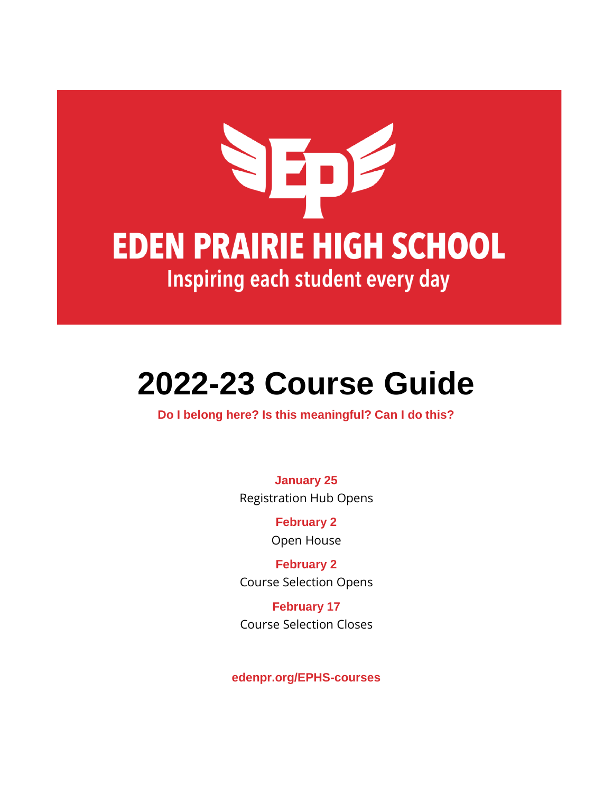# NEDE **EDEN PRAIRIE HIGH SCHOOL** Inspiring each student every day

# **2022-23 Course Guide**

**Do I belong here? Is this meaningful? Can I do this?**

**January 25** Registration Hub Opens

> **February 2** Open House

**February 2** Course Selection Opens

**February 17** Course Selection Closes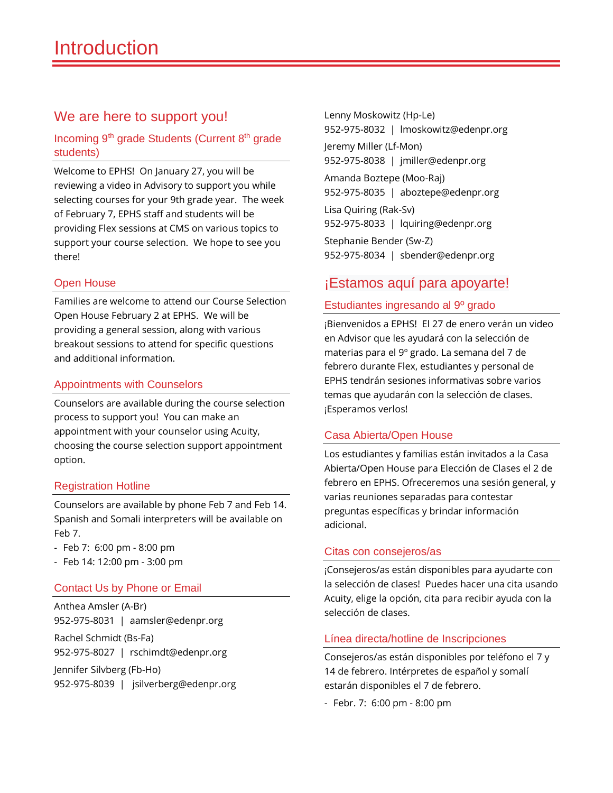# We are here to support you!

#### Incoming 9th grade Students (Current 8th grade students)

Welcome to EPHS! On January 27, you will be reviewing a video in Advisory to support you while selecting courses for your 9th grade year. The week of February 7, EPHS staff and students will be providing Flex sessions at CMS on various topics to support your course selection. We hope to see you there!

#### Open House

Families are welcome to attend our Course Selection Open House February 2 at EPHS. We will be providing a general session, along with various breakout sessions to attend for specific questions and additional information.

#### Appointments with Counselors

Counselors are available during the course selection process to support you! You can make an appointment with your counselor using Acuity, choosing the course selection support appointment option.

#### Registration Hotline

Counselors are available by phone Feb 7 and Feb 14. Spanish and Somali interpreters will be available on Feb 7.

- Feb 7: 6:00 pm 8:00 pm
- Feb 14: 12:00 pm 3:00 pm

#### Contact Us by Phone or Email

Anthea Amsler (A-Br) 952-975-8031 | aamsler@edenpr.org Rachel Schmidt (Bs-Fa) 952-975-8027 | rschimdt@edenpr.org Jennifer Silvberg (Fb-Ho) 952-975-8039 | jsilverberg@edenpr.org

Lenny Moskowitz (Hp-Le) 952-975-8032 | lmoskowitz@edenpr.org Jeremy Miller (Lf-Mon)

952-975-8038 | jmiller@edenpr.org

Amanda Boztepe (Moo-Raj) 952-975-8035 | aboztepe@edenpr.org

Lisa Quiring (Rak-Sv) 952-975-8033 | lquiring@edenpr.org

Stephanie Bender (Sw-Z) 952-975-8034 | sbender@edenpr.org

#### ¡Estamos aquí para apoyarte!

#### Estudiantes ingresando al 9º grado

¡Bienvenidos a EPHS! El 27 de enero verán un video en Advisor que les ayudará con la selección de materias para el 9º grado. La semana del 7 de febrero durante Flex, estudiantes y personal de EPHS tendrán sesiones informativas sobre varios temas que ayudarán con la selección de clases. ¡Esperamos verlos!

#### Casa Abierta/Open House

Los estudiantes y familias están invitados a la Casa Abierta/Open House para Elección de Clases el 2 de febrero en EPHS. Ofreceremos una sesión general, y varias reuniones separadas para contestar preguntas específicas y brindar información adicional.

#### Citas con consejeros/as

¡Consejeros/as están disponibles para ayudarte con la selección de clases! Puedes hacer una cita usando Acuity, elige la opción, cita para recibir ayuda con la selección de clases.

#### Línea directa/hotline de Inscripciones

Consejeros/as están disponibles por teléfono el 7 y 14 de febrero. Intérpretes de español y somalí estarán disponibles el 7 de febrero.

- Febr. 7: 6:00 pm - 8:00 pm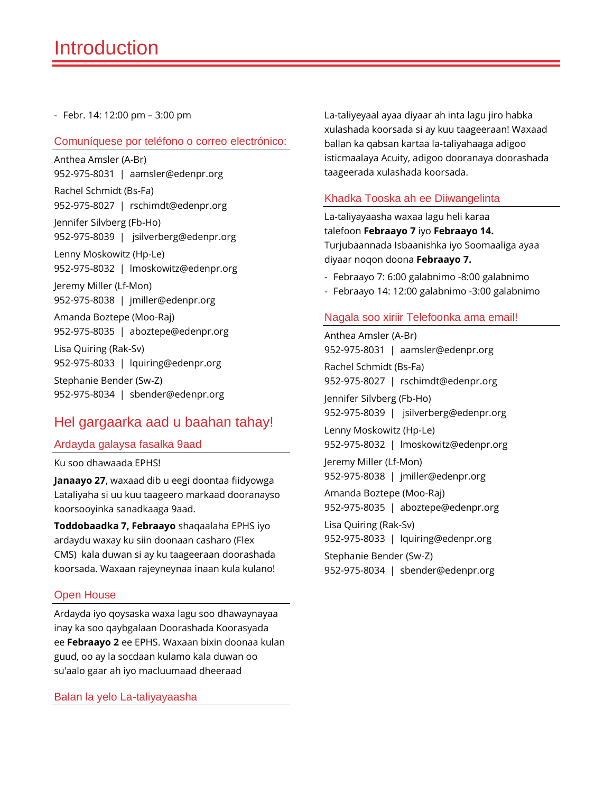- Febr. 14: 12:00 pm – 3:00 pm

#### Comuníquese por teléfono o correo electrónico:

Anthea Amsler (A-Br) 952-975-8031 | aamsler@edenpr.org Rachel Schmidt (Bs-Fa) 952-975-8027 | rschimdt@edenpr.org Jennifer Silvberg (Fb-Ho) 952-975-8039 | jsilverberg@edenpr.org Lenny Moskowitz (Hp-Le) 952-975-8032 | lmoskowitz@edenpr.org Jeremy Miller (Lf-Mon) 952-975-8038 | jmiller@edenpr.org Amanda Boztepe (Moo-Raj) 952-975-8035 | aboztepe@edenpr.org Lisa Quiring (Rak-Sv) 952-975-8033 | lquiring@edenpr.org Stephanie Bender (Sw-Z) 952-975-8034 | sbender@edenpr.org

#### Hel gargaarka aad u baahan tahay!

#### Ardayda galaysa fasalka 9aad

Ku soo dhawaada EPHS!

**Janaayo 27**, waxaad dib u eegi doontaa fiidyowga Lataliyaha si uu kuu taageero markaad dooranayso koorsooyinka sanadkaaga 9aad.

**Toddobaadka 7, Febraayo** shaqaalaha EPHS iyo ardaydu waxay ku siin doonaan casharo (Flex CMS) kala duwan si ay ku taageeraan doorashada koorsada. Waxaan rajeyneynaa inaan kula kulano!

#### Open House

Ardayda iyo qoysaska waxa lagu soo dhawaynayaa inay ka soo qaybgalaan Doorashada Koorasyada ee **Febraayo 2** ee EPHS. Waxaan bixin doonaa kulan guud, oo ay la socdaan kulamo kala duwan oo su'aalo gaar ah iyo macluumaad dheeraad

Balan la yelo La-taliyayaasha

La-taliyeyaal ayaa diyaar ah inta lagu jiro habka xulashada koorsada si ay kuu taageeraan! Waxaad ballan ka qabsan kartaa la-taliyahaaga adigoo isticmaalaya Acuity, adigoo dooranaya doorashada taageerada xulashada koorsada.

#### Khadka Tooska ah ee Diiwangelinta

La-taliyayaasha waxaa lagu heli karaa talefoon **Febraayo 7** iyo **Febraayo 14.** Turjubaannada Isbaanishka iyo Soomaaliga ayaa diyaar noqon doona **Febraayo 7.**

- Febraayo 7: 6:00 galabnimo -8:00 galabnimo
- Febraayo 14: 12:00 galabnimo -3:00 galabnimo

#### Nagala soo xiriir Telefoonka ama email!

Anthea Amsler (A-Br) 952-975-8031 | aamsler@edenpr.org Rachel Schmidt (Bs-Fa) 952-975-8027 | rschimdt@edenpr.org Jennifer Silvberg (Fb-Ho) 952-975-8039 | jsilverberg@edenpr.org Lenny Moskowitz (Hp-Le) 952-975-8032 | lmoskowitz@edenpr.org Jeremy Miller (Lf-Mon) 952-975-8038 | jmiller@edenpr.org Amanda Boztepe (Moo-Raj) 952-975-8035 | aboztepe@edenpr.org Lisa Quiring (Rak-Sv) 952-975-8033 | lquiring@edenpr.org Stephanie Bender (Sw-Z) 952-975-8034 | sbender@edenpr.org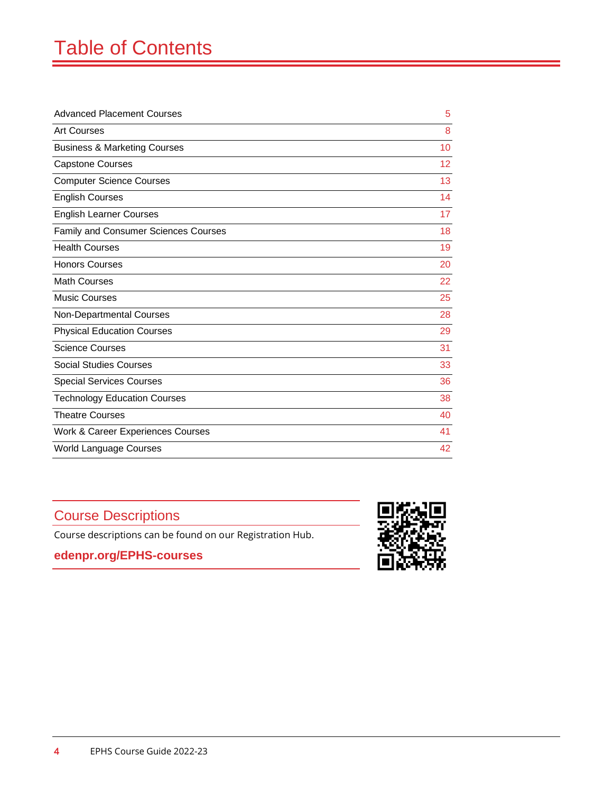# Table of Contents

| <b>Advanced Placement Courses</b>           |    |
|---------------------------------------------|----|
| <b>Art Courses</b>                          | 8  |
| <b>Business &amp; Marketing Courses</b>     | 10 |
| <b>Capstone Courses</b>                     | 12 |
| <b>Computer Science Courses</b>             | 13 |
| <b>English Courses</b>                      | 14 |
| <b>English Learner Courses</b>              | 17 |
| <b>Family and Consumer Sciences Courses</b> | 18 |
| <b>Health Courses</b>                       | 19 |
| <b>Honors Courses</b>                       | 20 |
| <b>Math Courses</b>                         | 22 |
| <b>Music Courses</b>                        | 25 |
| Non-Departmental Courses                    | 28 |
| <b>Physical Education Courses</b>           | 29 |
| <b>Science Courses</b>                      | 31 |
| <b>Social Studies Courses</b>               | 33 |
| <b>Special Services Courses</b>             | 36 |
| <b>Technology Education Courses</b>         | 38 |
| <b>Theatre Courses</b>                      | 40 |
| Work & Career Experiences Courses           | 41 |
| <b>World Language Courses</b>               | 42 |
|                                             |    |

# Course Descriptions

Course descriptions can be found on our Registration Hub.

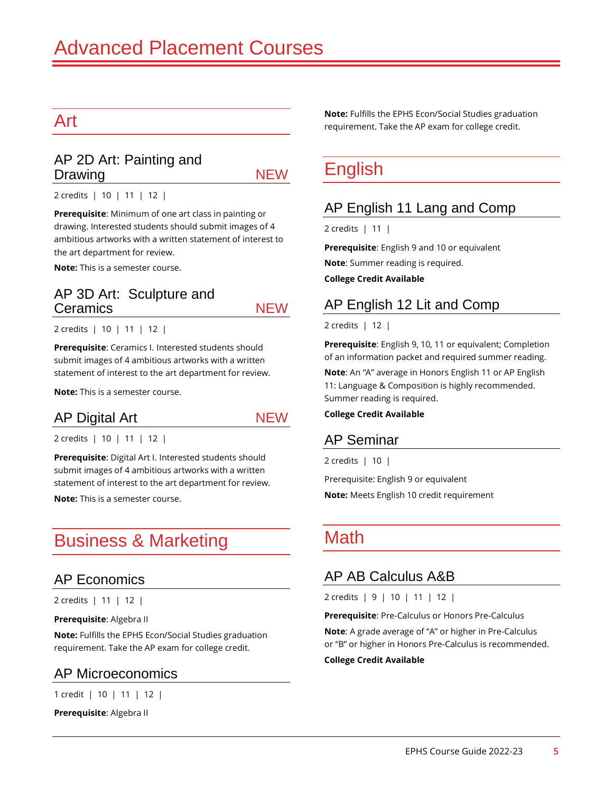# Art

#### AP 2D Art: Painting and Drawing NEW

2 credits | 10 | 11 | 12 |

**Prerequisite**: Minimum of one art class in painting or drawing. Interested students should submit images of 4 ambitious artworks with a written statement of interest to the art department for review.

**Note:** This is a semester course.

#### AP 3D Art: Sculpture and Ceramics NEW

2 credits | 10 | 11 | 12 |

**Prerequisite**: Ceramics I. Interested students should submit images of 4 ambitious artworks with a written statement of interest to the art department for review.

**Note:** This is a semester course.

#### AP Digital Art NEW

2 credits | 10 | 11 | 12 |

**Prerequisite**: Digital Art I. Interested students should submit images of 4 ambitious artworks with a written statement of interest to the art department for review.

**Note:** This is a semester course.

# Business & Marketing

#### AP Economics

2 credits | 11 | 12 |

**Prerequisite**: Algebra II

**Note:** Fulfills the EPHS Econ/Social Studies graduation requirement. Take the AP exam for college credit.

#### AP Microeconomics

1 credit | 10 | 11 | 12 |

**Prerequisite**: Algebra II

**Note:** Fulfills the EPHS Econ/Social Studies graduation requirement. Take the AP exam for college credit.

# **English**

#### AP English 11 Lang and Comp

2 credits | 11 |

**Prerequisite**: English 9 and 10 or equivalent

**Note**: Summer reading is required.

**College Credit Available**

#### AP English 12 Lit and Comp

2 credits | 12 |

**Prerequisite**: English 9, 10, 11 or equivalent; Completion of an information packet and required summer reading.

**Note**: An "A" average in Honors English 11 or AP English 11: Language & Composition is highly recommended. Summer reading is required.

#### **College Credit Available**

#### AP Seminar

2 credits | 10 |

Prerequisite: English 9 or equivalent **Note:** Meets English 10 credit requirement

# **Math**

#### AP AB Calculus A&B

2 credits | 9 | 10 | 11 | 12 |

**Prerequisite**: Pre-Calculus or Honors Pre-Calculus

**Note**: A grade average of "A" or higher in Pre-Calculus or "B" or higher in Honors Pre-Calculus is recommended.

#### **College Credit Available**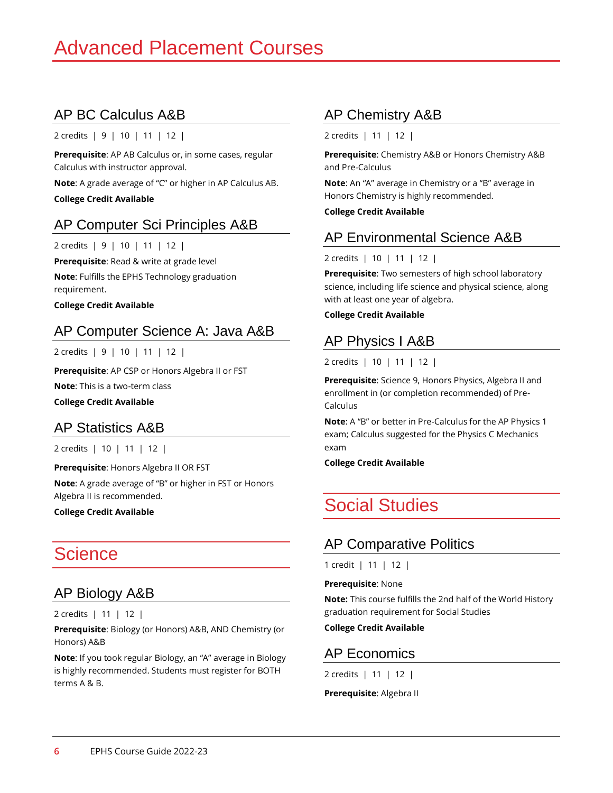# AP BC Calculus A&B

2 credits | 9 | 10 | 11 | 12 |

**Prerequisite**: AP AB Calculus or, in some cases, regular Calculus with instructor approval.

**Note**: A grade average of "C" or higher in AP Calculus AB.

**College Credit Available**

# AP Computer Sci Principles A&B

2 credits | 9 | 10 | 11 | 12 |

**Prerequisite**: Read & write at grade level

**Note**: Fulfills the EPHS Technology graduation requirement.

**College Credit Available**

# AP Computer Science A: Java A&B

2 credits | 9 | 10 | 11 | 12 |

**Prerequisite**: AP CSP or Honors Algebra II or FST

**Note**: This is a two-term class

**College Credit Available**

#### AP Statistics A&B

2 credits | 10 | 11 | 12 |

**Prerequisite**: Honors Algebra II OR FST

**Note**: A grade average of "B" or higher in FST or Honors Algebra II is recommended.

**College Credit Available**

# Science

#### AP Biology A&B

2 credits | 11 | 12 |

**Prerequisite**: Biology (or Honors) A&B, AND Chemistry (or Honors) A&B

**Note**: If you took regular Biology, an "A" average in Biology is highly recommended. Students must register for BOTH terms A & B.

# AP Chemistry A&B

2 credits | 11 | 12 |

**Prerequisite**: Chemistry A&B or Honors Chemistry A&B and Pre-Calculus

**Note**: An "A" average in Chemistry or a "B" average in Honors Chemistry is highly recommended.

**College Credit Available**

#### AP Environmental Science A&B

#### 2 credits | 10 | 11 | 12 |

**Prerequisite**: Two semesters of high school laboratory science, including life science and physical science, along with at least one year of algebra.

**College Credit Available** 

# AP Physics I A&B

#### 2 credits | 10 | 11 | 12 |

**Prerequisite**: Science 9, Honors Physics, Algebra II and enrollment in (or completion recommended) of Pre-Calculus

**Note**: A "B" or better in Pre-Calculus for the AP Physics 1 exam; Calculus suggested for the Physics C Mechanics exam

**College Credit Available**

# Social Studies

# AP Comparative Politics

1 credit | 11 | 12 |

**Prerequisite**: None

**Note:** This course fulfills the 2nd half of the World History graduation requirement for Social Studies

**College Credit Available**

# AP Economics

2 credits | 11 | 12 |

**Prerequisite**: Algebra II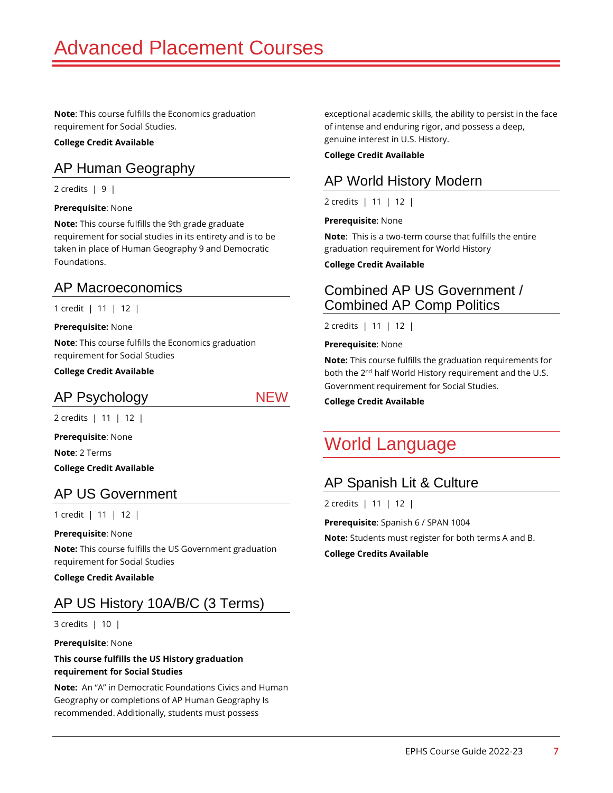**Note**: This course fulfills the Economics graduation requirement for Social Studies.

#### **College Credit Available**

#### AP Human Geography

2 credits  $\vert 9 \vert$ 

#### **Prerequisite**: None

**Note:** This course fulfills the 9th grade graduate requirement for social studies in its entirety and is to be taken in place of Human Geography 9 and Democratic Foundations.

#### AP Macroeconomics

1 credit | 11 | 12 |

#### **Prerequisite:** None

**Note**: This course fulfills the Economics graduation requirement for Social Studies

**College Credit Available**

#### AP Psychology NEW

2 credits | 11 | 12 |

**Prerequisite**: None

**Note**: 2 Terms

**College Credit Available**

#### AP US Government

1 credit | 11 | 12 |

#### **Prerequisite**: None

**Note:** This course fulfills the US Government graduation requirement for Social Studies

**College Credit Available**

# AP US History 10A/B/C (3 Terms)

3 credits | 10 |

**Prerequisite**: None

#### **This course fulfills the US History graduation requirement for Social Studies**

**Note:** An "A" in Democratic Foundations Civics and Human Geography or completions of AP Human Geography Is recommended. Additionally, students must possess

exceptional academic skills, the ability to persist in the face of intense and enduring rigor, and possess a deep, genuine interest in U.S. History.

#### **College Credit Available**

### AP World History Modern

2 credits | 11 | 12 |

#### **Prerequisite**: None

**Note**: This is a two-term course that fulfills the entire graduation requirement for World History

#### **College Credit Available**

#### Combined AP US Government / Combined AP Comp Politics

2 credits | 11 | 12 |

#### **Prerequisite**: None

**Note:** This course fulfills the graduation requirements for both the 2<sup>nd</sup> half World History requirement and the U.S. Government requirement for Social Studies.

#### **College Credit Available**

# World Language

#### AP Spanish Lit & Culture

2 credits | 11 | 12 |

**Prerequisite**: Spanish 6 / SPAN 1004

**Note:** Students must register for both terms A and B.

**College Credits Available**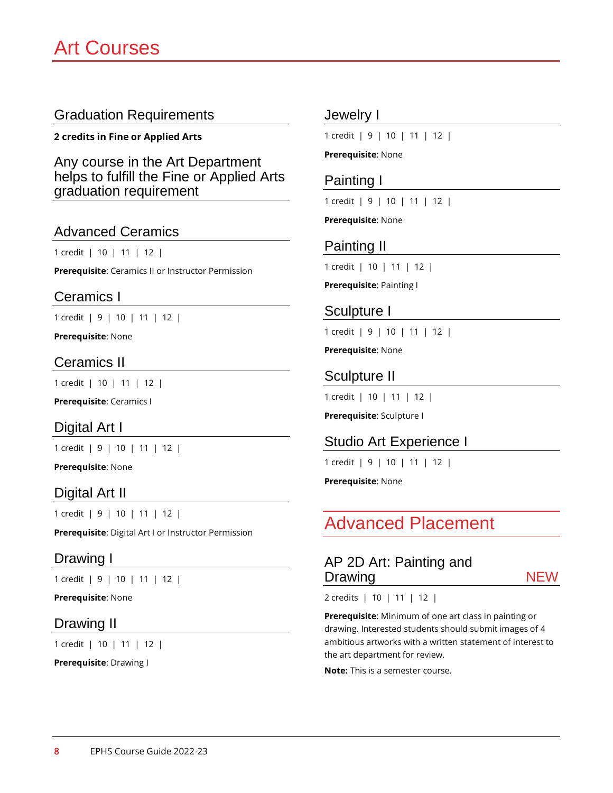**2 credits in Fine or Applied Arts**

Any course in the Art Department helps to fulfill the Fine or Applied Arts graduation requirement

#### Advanced Ceramics

1 credit | 10 | 11 | 12 |

**Prerequisite**: Ceramics II or Instructor Permission

#### Ceramics I

1 credit | 9 | 10 | 11 | 12 |

**Prerequisite**: None

#### Ceramics II

1 credit | 10 | 11 | 12 |

**Prerequisite**: Ceramics I

#### Digital Art I

1 credit | 9 | 10 | 11 | 12 |

**Prerequisite**: None

#### Digital Art II

1 credit | 9 | 10 | 11 | 12 |

**Prerequisite**: Digital Art I or Instructor Permission

#### Drawing I

1 credit | 9 | 10 | 11 | 12 |

**Prerequisite**: None

#### Drawing II

1 credit | 10 | 11 | 12 |

**Prerequisite**: Drawing I

#### Jewelry I

1 credit | 9 | 10 | 11 | 12 |

#### **Prerequisite**: None

#### Painting I

1 credit | 9 | 10 | 11 | 12 |

**Prerequisite**: None

#### Painting II

1 credit | 10 | 11 | 12 |

**Prerequisite**: Painting I

#### Sculpture I

1 credit | 9 | 10 | 11 | 12 |

**Prerequisite**: None

#### Sculpture II

1 credit | 10 | 11 | 12 |

**Prerequisite**: Sculpture I

#### Studio Art Experience I

1 credit | 9 | 10 | 11 | 12 |

**Prerequisite**: None

# Advanced Placement

| AP 2D Art: Painting and |            |
|-------------------------|------------|
| Drawing                 | <b>NEW</b> |
|                         |            |

2 credits | 10 | 11 | 12 |

**Prerequisite**: Minimum of one art class in painting or drawing. Interested students should submit images of 4 ambitious artworks with a written statement of interest to the art department for review.

**Note:** This is a semester course.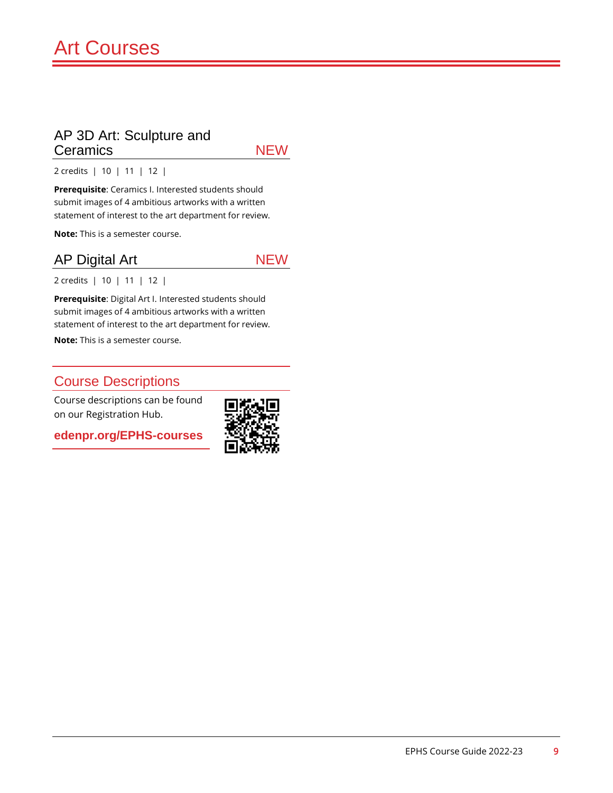#### AP 3D Art: Sculpture and Ceramics NEW

2 credits | 10 | 11 | 12 |

**Prerequisite**: Ceramics I. Interested students should submit images of 4 ambitious artworks with a written statement of interest to the art department for review.

**Note:** This is a semester course.

#### AP Digital Art NEW

2 credits | 10 | 11 | 12 |

**Prerequisite**: Digital Art I. Interested students should submit images of 4 ambitious artworks with a written statement of interest to the art department for review.

**Note:** This is a semester course.

#### Course Descriptions

Course descriptions can be found on our Registration Hub.

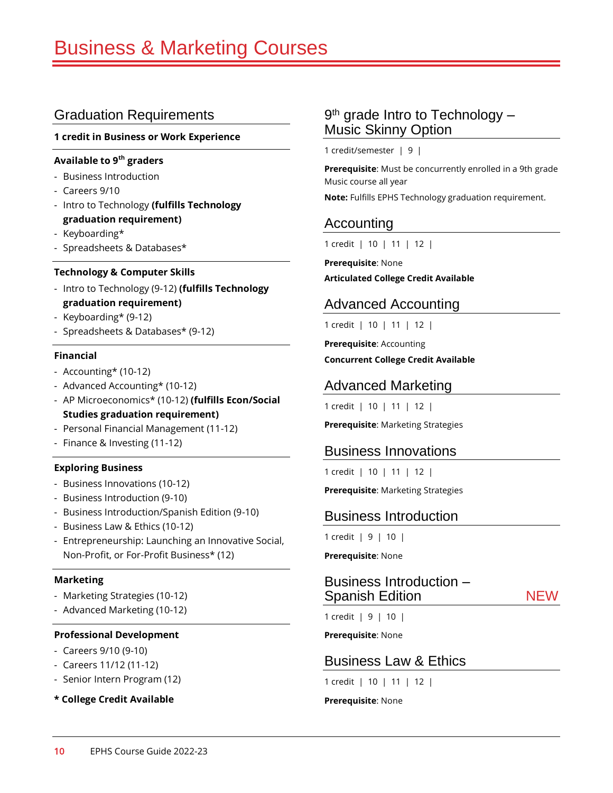#### **1 credit in Business or Work Experience**

#### **Available to 9th graders**

- Business Introduction
- Careers 9/10
- Intro to Technology **(fulfills Technology graduation requirement)**
- Keyboarding\*
- Spreadsheets & Databases\*

#### **Technology & Computer Skills**

- Intro to Technology (9-12) **(fulfills Technology graduation requirement)**
- Keyboarding\* (9-12)
- Spreadsheets & Databases\* (9-12)

#### **Financial**

- Accounting\* (10-12)
- Advanced Accounting\* (10-12)
- AP Microeconomics\* (10-12) **(fulfills Econ/Social Studies graduation requirement)**
- Personal Financial Management (11-12)
- Finance & Investing (11-12)

#### **Exploring Business**

- Business Innovations (10-12)
- Business Introduction (9-10)
- Business Introduction/Spanish Edition (9-10)
- Business Law & Ethics (10-12)
- Entrepreneurship: Launching an Innovative Social, Non-Profit, or For-Profit Business\* (12)

#### **Marketing**

- Marketing Strategies (10-12)
- Advanced Marketing (10-12)

#### **Professional Development**

- Careers 9/10 (9-10)
- Careers 11/12 (11-12)
- Senior Intern Program (12)
- **\* College Credit Available**

#### 9<sup>th</sup> grade Intro to Technology -Music Skinny Option

1 credit/semester | 9 |

**Prerequisite**: Must be concurrently enrolled in a 9th grade Music course all year

**Note:** Fulfills EPHS Technology graduation requirement.

#### Accounting

1 credit | 10 | 11 | 12 |

**Prerequisite**: None **Articulated College Credit Available**

#### Advanced Accounting

1 credit | 10 | 11 | 12 |

**Prerequisite**: Accounting

**Concurrent College Credit Available**

#### Advanced Marketing

1 credit | 10 | 11 | 12 |

**Prerequisite**: Marketing Strategies

#### Business Innovations

1 credit | 10 | 11 | 12 |

**Prerequisite**: Marketing Strategies

#### Business Introduction

1 credit | 9 | 10 |

**Prerequisite**: None

#### Business Introduction – Spanish Edition NEW

1 credit | 9 | 10 |

**Prerequisite**: None

#### Business Law & Ethics

1 credit | 10 | 11 | 12 |

**Prerequisite**: None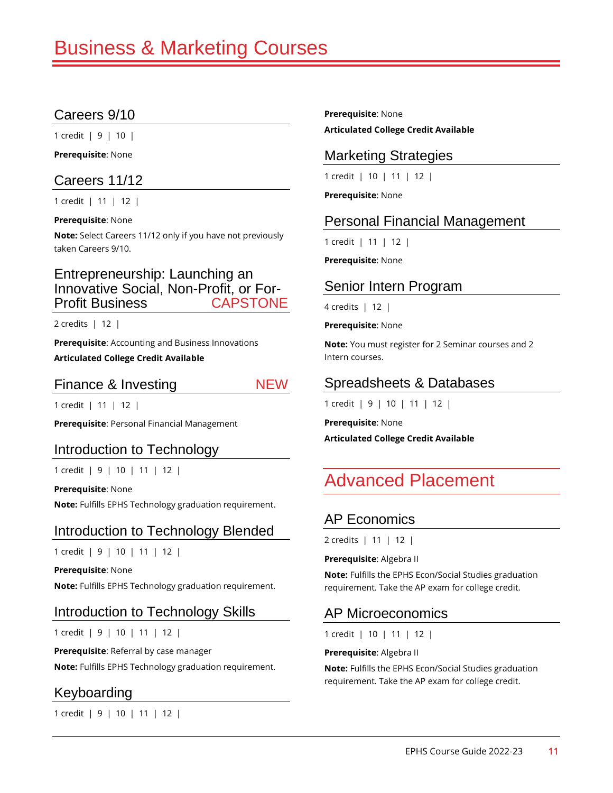### Careers 9/10

1 credit | 9 | 10 |

**Prerequisite**: None

#### Careers 11/12

1 credit | 11 | 12 |

**Prerequisite**: None

**Note:** Select Careers 11/12 only if you have not previously taken Careers 9/10.

#### Entrepreneurship: Launching an Innovative Social, Non-Profit, or For-Profit Business CAPSTONE

2 credits | 12 |

**Prerequisite**: Accounting and Business Innovations **Articulated College Credit Available**

#### Finance & Investing NEW

1 credit | 11 | 12 |

**Prerequisite**: Personal Financial Management

#### Introduction to Technology

1 credit | 9 | 10 | 11 | 12 |

**Prerequisite**: None **Note:** Fulfills EPHS Technology graduation requirement.

#### Introduction to Technology Blended

1 credit | 9 | 10 | 11 | 12 |

**Prerequisite**: None

**Note:** Fulfills EPHS Technology graduation requirement.

#### Introduction to Technology Skills

1 credit | 9 | 10 | 11 | 12 |

**Prerequisite**: Referral by case manager

**Note:** Fulfills EPHS Technology graduation requirement.

#### Keyboarding

1 credit | 9 | 10 | 11 | 12 |

**Prerequisite**: None **Articulated College Credit Available**

### Marketing Strategies

1 credit | 10 | 11 | 12 |

**Prerequisite**: None

#### Personal Financial Management

1 credit | 11 | 12 |

**Prerequisite**: None

#### Senior Intern Program

4 credits | 12 |

**Prerequisite**: None

**Note:** You must register for 2 Seminar courses and 2 Intern courses.

### Spreadsheets & Databases

1 credit | 9 | 10 | 11 | 12 |

**Prerequisite**: None **Articulated College Credit Available**

# Advanced Placement

# AP Economics

2 credits | 11 | 12 |

**Prerequisite**: Algebra II

**Note:** Fulfills the EPHS Econ/Social Studies graduation requirement. Take the AP exam for college credit.

#### AP Microeconomics

1 credit | 10 | 11 | 12 |

**Prerequisite**: Algebra II

**Note:** Fulfills the EPHS Econ/Social Studies graduation requirement. Take the AP exam for college credit.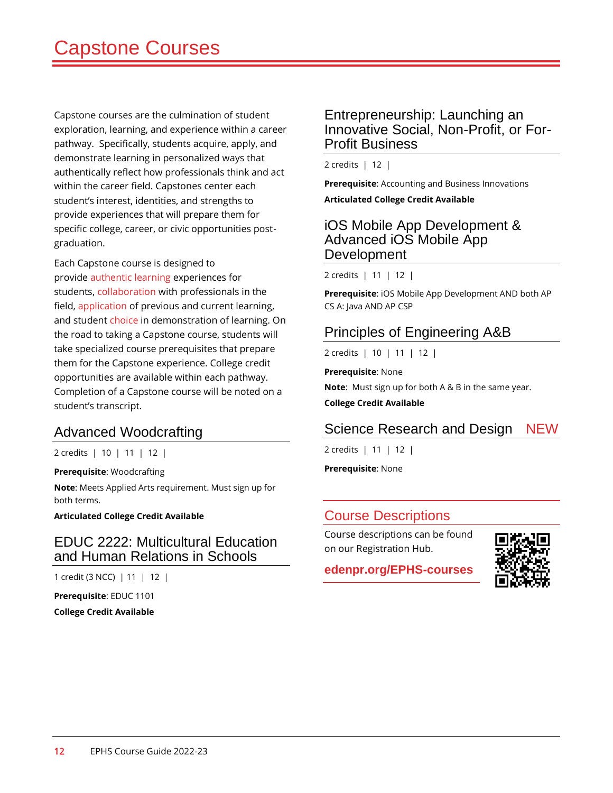Capstone courses are the culmination of student exploration, learning, and experience within a career pathway. Specifically, students acquire, apply, and demonstrate learning in personalized ways that authentically reflect how professionals think and act within the career field. Capstones center each student's interest, identities, and strengths to provide experiences that will prepare them for specific college, career, or civic opportunities postgraduation.

Each Capstone course is designed to provide authentic learning experiences for students, collaboration with professionals in the field, application of previous and current learning, and student choice in demonstration of learning. On the road to taking a Capstone course, students will take specialized course prerequisites that prepare them for the Capstone experience. College credit opportunities are available within each pathway. Completion of a Capstone course will be noted on a student's transcript.

#### Advanced Woodcrafting

2 credits | 10 | 11 | 12 |

**Prerequisite**: Woodcrafting

**Note**: Meets Applied Arts requirement. Must sign up for both terms.

**Articulated College Credit Available**

#### EDUC 2222: Multicultural Education and Human Relations in Schools

1 credit (3 NCC) | 11 | 12 |

**Prerequisite**: EDUC 1101 **College Credit Available**

#### Entrepreneurship: Launching an Innovative Social, Non-Profit, or For-Profit Business

2 credits | 12 |

**Prerequisite**: Accounting and Business Innovations

**Articulated College Credit Available**

#### iOS Mobile App Development & Advanced iOS Mobile App Development

2 credits | 11 | 12 |

**Prerequisite**: iOS Mobile App Development AND both AP CS A: Java AND AP CSP

#### Principles of Engineering A&B

2 credits | 10 | 11 | 12 |

**Prerequisite**: None

**Note**: Must sign up for both A & B in the same year.

**College Credit Available**

# Science Research and Design NEW

2 credits | 11 | 12 |

**Prerequisite**: None

#### Course Descriptions

Course descriptions can be found on our Registration Hub.

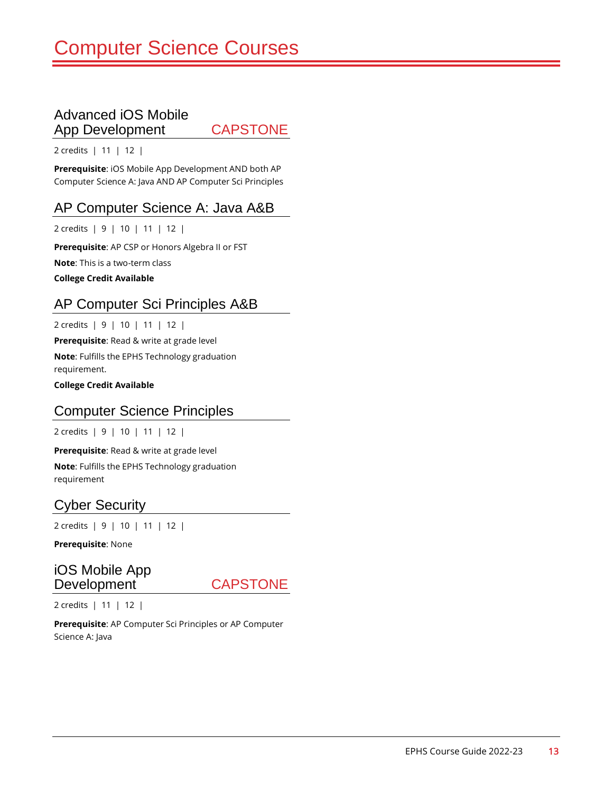#### Advanced iOS Mobile App Development CAPSTONE

2 credits | 11 | 12 |

**Prerequisite**: iOS Mobile App Development AND both AP Computer Science A: Java AND AP Computer Sci Principles

#### AP Computer Science A: Java A&B

2 credits | 9 | 10 | 11 | 12 |

**Prerequisite**: AP CSP or Honors Algebra II or FST

**Note**: This is a two-term class

**College Credit Available**

#### AP Computer Sci Principles A&B

2 credits | 9 | 10 | 11 | 12 |

**Prerequisite**: Read & write at grade level

**Note**: Fulfills the EPHS Technology graduation requirement.

**College Credit Available**

#### Computer Science Principles

2 credits | 9 | 10 | 11 | 12 |

**Prerequisite**: Read & write at grade level

**Note**: Fulfills the EPHS Technology graduation requirement

#### Cyber Security

2 credits | 9 | 10 | 11 | 12 |

**Prerequisite**: None

#### iOS Mobile App Development CAPSTONE

2 credits | 11 | 12 |

**Prerequisite**: AP Computer Sci Principles or AP Computer Science A: Java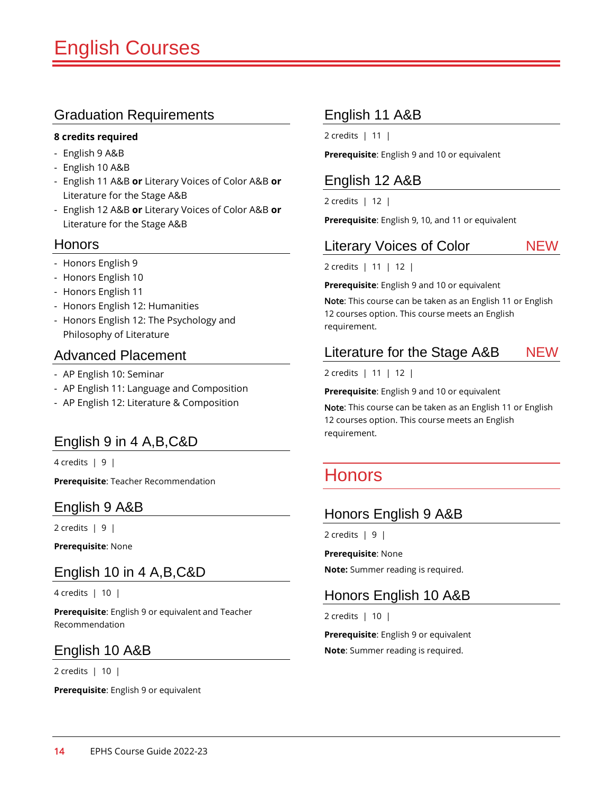#### **8 credits required**

- English 9 A&B
- English 10 A&B
- English 11 A&B **or** Literary Voices of Color A&B **or** Literature for the Stage A&B
- English 12 A&B **or** Literary Voices of Color A&B **or** Literature for the Stage A&B

#### Honors

- Honors English 9
- Honors English 10
- Honors English 11
- Honors English 12: Humanities
- Honors English 12: The Psychology and Philosophy of Literature

#### Advanced Placement

- AP English 10: Seminar
- AP English 11: Language and Composition
- AP English 12: Literature & Composition

#### English 9 in 4 A,B,C&D

4 credits | 9 |

**Prerequisite**: Teacher Recommendation

#### English 9 A&B

2 credits  $\vert 9 \vert$ 

**Prerequisite**: None

#### English 10 in 4 A,B,C&D

4 credits | 10 |

**Prerequisite**: English 9 or equivalent and Teacher Recommendation

#### English 10 A&B

2 credits | 10 |

**Prerequisite**: English 9 or equivalent

#### English 11 A&B

2 credits | 11 |

**Prerequisite**: English 9 and 10 or equivalent

#### English 12 A&B

2 credits | 12 |

**Prerequisite**: English 9, 10, and 11 or equivalent

#### Literary Voices of Color NEW

2 credits | 11 | 12 |

**Prerequisite**: English 9 and 10 or equivalent

Note: This course can be taken as an English 11 or English 12 courses option. This course meets an English requirement.

### Literature for the Stage A&B NEW

2 credits | 11 | 12 |

**Prerequisite**: English 9 and 10 or equivalent

Note: This course can be taken as an English 11 or English 12 courses option. This course meets an English requirement.

# **Honors**

#### Honors English 9 A&B

 $2$  credits  $\vert 9 \vert$ 

**Prerequisite**: None **Note:** Summer reading is required.

#### Honors English 10 A&B

2 credits | 10 |

**Prerequisite**: English 9 or equivalent **Note**: Summer reading is required.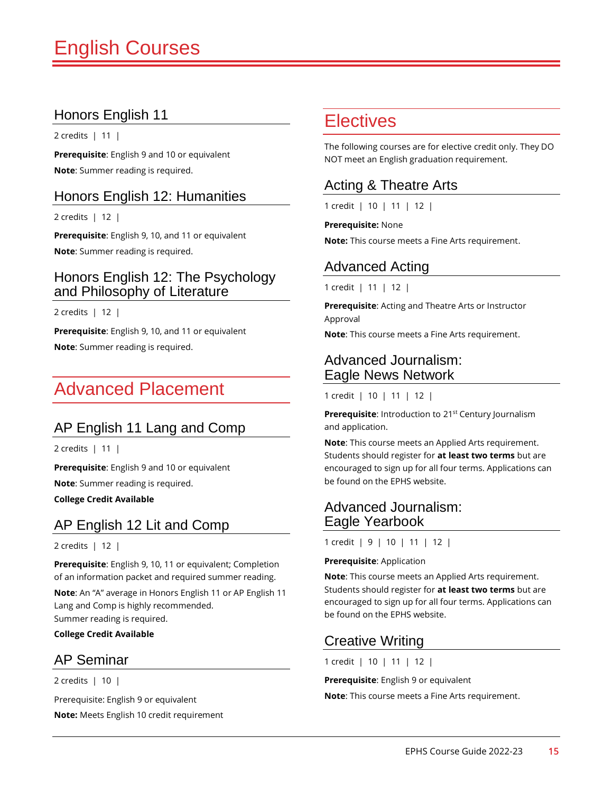# Honors English 11

2 credits | 11 |

**Prerequisite**: English 9 and 10 or equivalent **Note**: Summer reading is required.

#### Honors English 12: Humanities

2 credits | 12 |

**Prerequisite**: English 9, 10, and 11 or equivalent **Note**: Summer reading is required.

#### Honors English 12: The Psychology and Philosophy of Literature

2 credits | 12 |

**Prerequisite**: English 9, 10, and 11 or equivalent **Note**: Summer reading is required.

# Advanced Placement

# AP English 11 Lang and Comp

2 credits | 11 |

**Prerequisite**: English 9 and 10 or equivalent

**Note**: Summer reading is required.

**College Credit Available**

# AP English 12 Lit and Comp

#### 2 credits | 12 |

**Prerequisite**: English 9, 10, 11 or equivalent; Completion of an information packet and required summer reading.

**Note**: An "A" average in Honors English 11 or AP English 11 Lang and Comp is highly recommended. Summer reading is required.

**College Credit Available**

#### AP Seminar

2 credits | 10 |

Prerequisite: English 9 or equivalent

**Note:** Meets English 10 credit requirement

# **Electives**

The following courses are for elective credit only. They DO NOT meet an English graduation requirement.

# Acting & Theatre Arts

1 credit | 10 | 11 | 12 |

#### **Prerequisite:** None

**Note:** This course meets a Fine Arts requirement.

#### Advanced Acting

1 credit | 11 | 12 |

**Prerequisite**: Acting and Theatre Arts or Instructor Approval

**Note**: This course meets a Fine Arts requirement.

#### Advanced Journalism: Eagle News Network

1 credit | 10 | 11 | 12 |

**Prerequisite:** Introduction to 21<sup>st</sup> Century Journalism and application.

**Note**: This course meets an Applied Arts requirement. Students should register for **at least two terms** but are encouraged to sign up for all four terms. Applications can be found on the EPHS website.

#### Advanced Journalism: Eagle Yearbook

1 credit | 9 | 10 | 11 | 12 |

#### **Prerequisite**: Application

**Note**: This course meets an Applied Arts requirement. Students should register for **at least two terms** but are encouraged to sign up for all four terms. Applications can be found on the EPHS website.

#### Creative Writing

1 credit | 10 | 11 | 12 |

**Prerequisite**: English 9 or equivalent

**Note**: This course meets a Fine Arts requirement.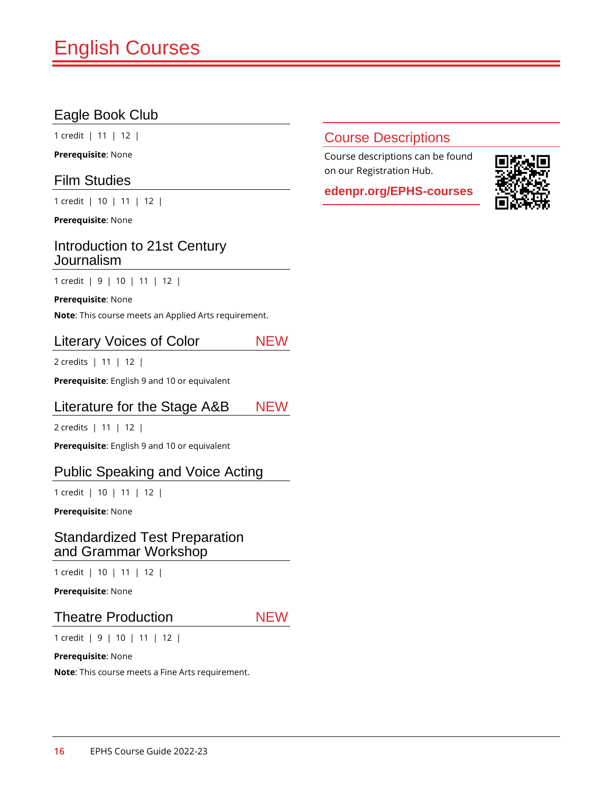# Eagle Book Club

1 credit | 11 | 12 |

**Prerequisite**: None

#### Film Studies

1 credit | 10 | 11 | 12 |

**Prerequisite**: None

#### Introduction to 21st Century Journalism

1 credit | 9 | 10 | 11 | 12 |

#### **Prerequisite**: None

**Note**: This course meets an Applied Arts requirement.

#### Literary Voices of Color NEW

2 credits | 11 | 12 |

**Prerequisite**: English 9 and 10 or equivalent

#### Literature for the Stage A&B NEW

2 credits | 11 | 12 |

**Prerequisite**: English 9 and 10 or equivalent

#### Public Speaking and Voice Acting

1 credit | 10 | 11 | 12 |

**Prerequisite**: None

#### Standardized Test Preparation and Grammar Workshop

1 credit | 10 | 11 | 12 |

**Prerequisite**: None

#### Theatre Production NEW

1 credit | 9 | 10 | 11 | 12 |

#### **Prerequisite**: None

**Note**: This course meets a Fine Arts requirement.

#### Course Descriptions

Course descriptions can be found on our Registration Hub.

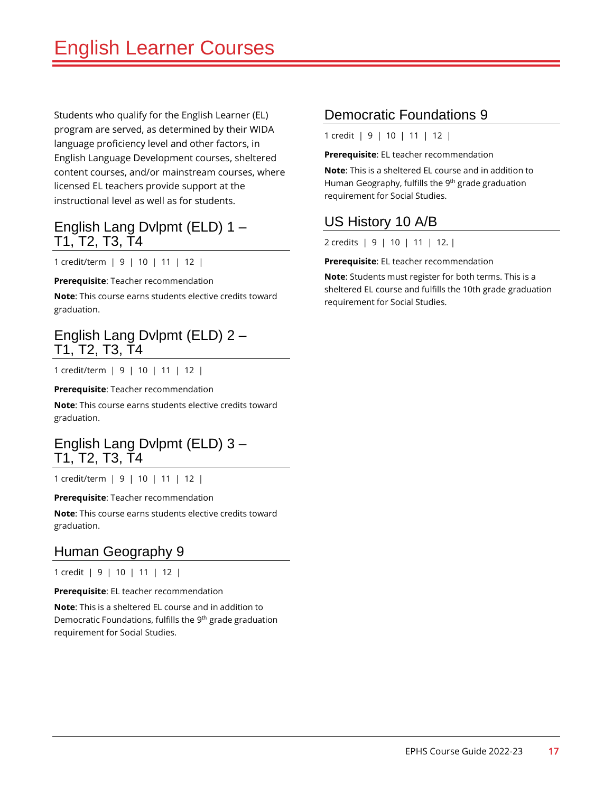Students who qualify for the English Learner (EL) program are served, as determined by their WIDA language proficiency level and other factors, in English Language Development courses, sheltered content courses, and/or mainstream courses, where licensed EL teachers provide support at the instructional level as well as for students.

#### English Lang Dvlpmt (ELD) 1 – T1, T2, T3, T4

1 credit/term | 9 | 10 | 11 | 12 |

**Prerequisite**: Teacher recommendation

**Note**: This course earns students elective credits toward graduation.

#### English Lang Dvlpmt (ELD) 2 – T1, T2, T3, T4

1 credit/term | 9 | 10 | 11 | 12 |

**Prerequisite**: Teacher recommendation

**Note**: This course earns students elective credits toward graduation.

#### English Lang Dvlpmt (ELD) 3 – T1, T2, T3, T4

1 credit/term | 9 | 10 | 11 | 12 |

**Prerequisite**: Teacher recommendation

**Note**: This course earns students elective credits toward graduation.

#### Human Geography 9

1 credit | 9 | 10 | 11 | 12 |

**Prerequisite**: EL teacher recommendation

**Note**: This is a sheltered EL course and in addition to Democratic Foundations, fulfills the 9<sup>th</sup> grade graduation requirement for Social Studies.

#### Democratic Foundations 9

1 credit | 9 | 10 | 11 | 12 |

**Prerequisite**: EL teacher recommendation

**Note**: This is a sheltered EL course and in addition to Human Geography, fulfills the 9<sup>th</sup> grade graduation requirement for Social Studies.

### US History 10 A/B

2 credits | 9 | 10 | 11 | 12. |

**Prerequisite**: EL teacher recommendation

**Note**: Students must register for both terms. This is a sheltered EL course and fulfills the 10th grade graduation requirement for Social Studies.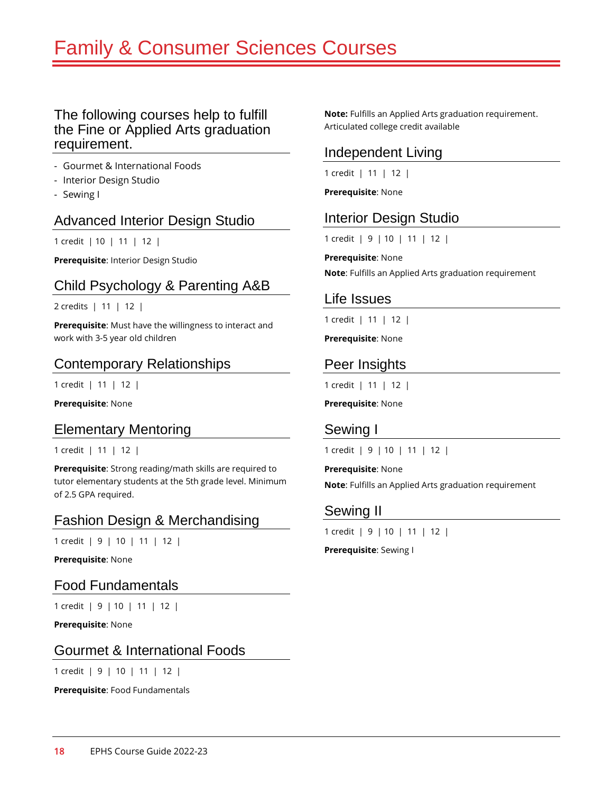# Family & Consumer Sciences Courses

#### The following courses help to fulfill the Fine or Applied Arts graduation requirement.

- Gourmet & International Foods
- Interior Design Studio
- Sewing I

#### Advanced Interior Design Studio

1 credit | 10 | 11 | 12 |

**Prerequisite**: Interior Design Studio

### Child Psychology & Parenting A&B

2 credits | 11 | 12 |

**Prerequisite**: Must have the willingness to interact and work with 3-5 year old children

#### Contemporary Relationships

1 credit | 11 | 12 |

**Prerequisite**: None

#### Elementary Mentoring

1 credit | 11 | 12 |

**Prerequisite**: Strong reading/math skills are required to tutor elementary students at the 5th grade level. Minimum of 2.5 GPA required.

# Fashion Design & Merchandising

1 credit | 9 | 10 | 11 | 12 |

**Prerequisite**: None

Food Fundamentals

1 credit | 9 | 10 | 11 | 12 |

**Prerequisite**: None

#### Gourmet & International Foods

1 credit | 9 | 10 | 11 | 12 |

**Prerequisite**: Food Fundamentals

**Note:** Fulfills an Applied Arts graduation requirement. Articulated college credit available

### Independent Living

1 credit | 11 | 12 |

**Prerequisite**: None

#### Interior Design Studio

1 credit | 9 | 10 | 11 | 12 |

**Prerequisite**: None **Note**: Fulfills an Applied Arts graduation requirement

#### Life Issues

1 credit | 11 | 12 |

**Prerequisite**: None

#### Peer Insights

1 credit | 11 | 12 |

**Prerequisite**: None

#### Sewing I

1 credit | 9 | 10 | 11 | 12 |

**Prerequisite**: None **Note**: Fulfills an Applied Arts graduation requirement

#### Sewing II

1 credit | 9 | 10 | 11 | 12 |

**Prerequisite**: Sewing I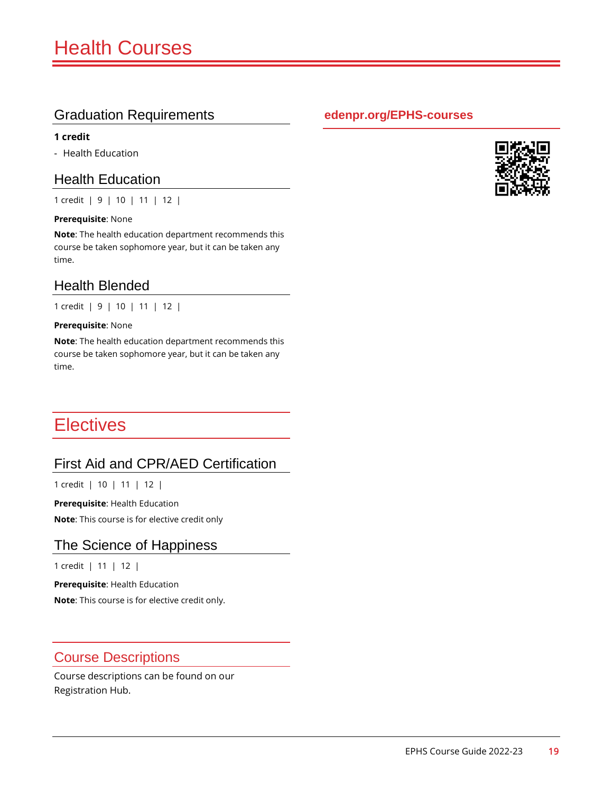#### **1 credit**

- Health Education

#### Health Education

1 credit | 9 | 10 | 11 | 12 |

#### **Prerequisite**: None

**Note**: The health education department recommends this course be taken sophomore year, but it can be taken any time.

#### Health Blended

1 credit | 9 | 10 | 11 | 12 |

#### **Prerequisite**: None

**Note**: The health education department recommends this course be taken sophomore year, but it can be taken any time.

# **Electives**

# First Aid and CPR/AED Certification

1 credit | 10 | 11 | 12 |

**Prerequisite**: Health Education

**Note**: This course is for elective credit only

#### The Science of Happiness

1 credit | 11 | 12 |

**Prerequisite**: Health Education

**Note**: This course is for elective credit only.

#### Course Descriptions

Course descriptions can be found on our Registration Hub.

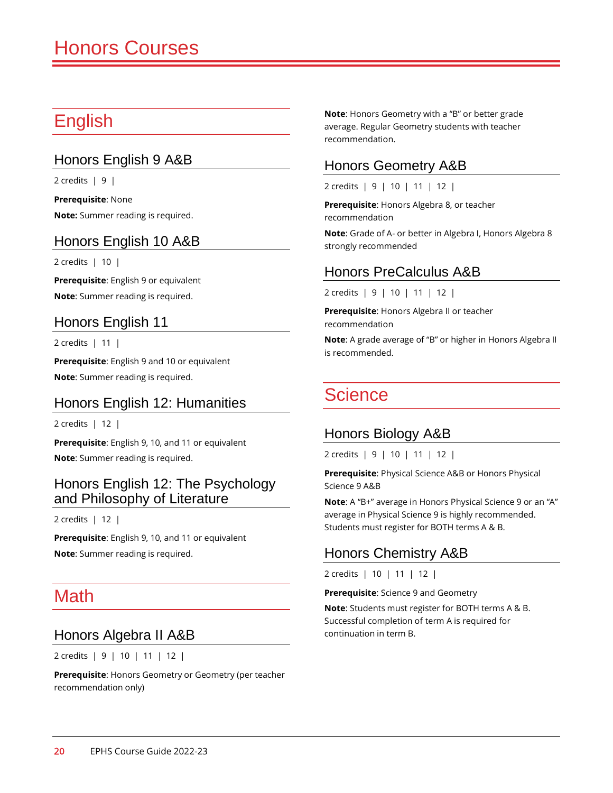# English

# Honors English 9 A&B

2 credits  $\vert 9 \vert$ 

**Prerequisite**: None **Note:** Summer reading is required.

### Honors English 10 A&B

2 credits | 10 |

**Prerequisite**: English 9 or equivalent **Note**: Summer reading is required.

### Honors English 11

2 credits | 11 |

**Prerequisite**: English 9 and 10 or equivalent **Note**: Summer reading is required.

#### Honors English 12: Humanities

2 credits | 12 |

**Prerequisite**: English 9, 10, and 11 or equivalent **Note**: Summer reading is required.

#### Honors English 12: The Psychology and Philosophy of Literature

2 credits | 12 |

**Prerequisite**: English 9, 10, and 11 or equivalent **Note**: Summer reading is required.

# **Math**

#### Honors Algebra II A&B

2 credits | 9 | 10 | 11 | 12 |

**Prerequisite**: Honors Geometry or Geometry (per teacher recommendation only)

**Note**: Honors Geometry with a "B" or better grade average. Regular Geometry students with teacher recommendation.

### Honors Geometry A&B

2 credits | 9 | 10 | 11 | 12 |

**Prerequisite**: Honors Algebra 8, or teacher recommendation

**Note**: Grade of A- or better in Algebra I, Honors Algebra 8 strongly recommended

### Honors PreCalculus A&B

2 credits | 9 | 10 | 11 | 12 |

**Prerequisite**: Honors Algebra II or teacher recommendation

**Note**: A grade average of "B" or higher in Honors Algebra II is recommended.

# Science

#### Honors Biology A&B

2 credits | 9 | 10 | 11 | 12 |

**Prerequisite**: Physical Science A&B or Honors Physical Science 9 A&B

**Note**: A "B+" average in Honors Physical Science 9 or an "A" average in Physical Science 9 is highly recommended. Students must register for BOTH terms A & B.

# Honors Chemistry A&B

2 credits | 10 | 11 | 12 |

**Prerequisite**: Science 9 and Geometry

**Note**: Students must register for BOTH terms A & B. Successful completion of term A is required for continuation in term B.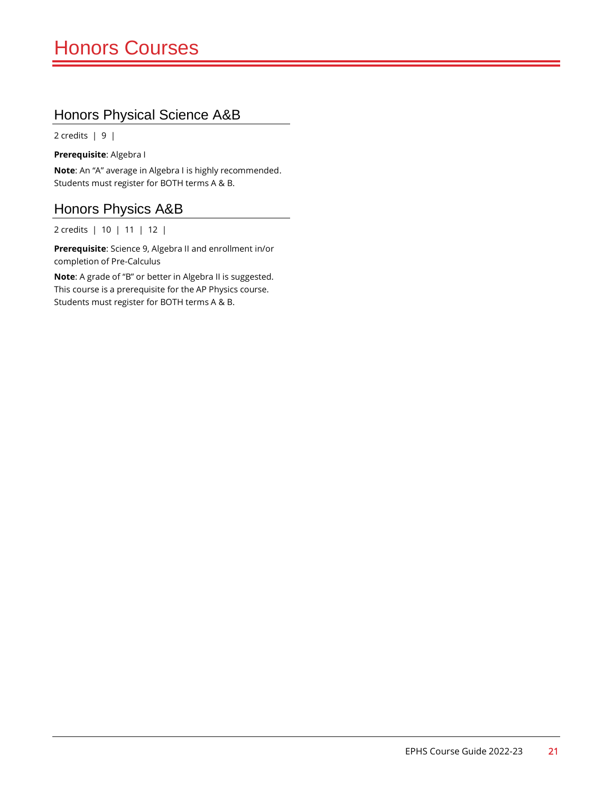### Honors Physical Science A&B

2 credits | 9 |

**Prerequisite**: Algebra I

**Note**: An "A" average in Algebra I is highly recommended. Students must register for BOTH terms A & B.

### Honors Physics A&B

2 credits | 10 | 11 | 12 |

**Prerequisite**: Science 9, Algebra II and enrollment in/or completion of Pre-Calculus

**Note**: A grade of "B" or better in Algebra II is suggested. This course is a prerequisite for the AP Physics course. Students must register for BOTH terms A & B.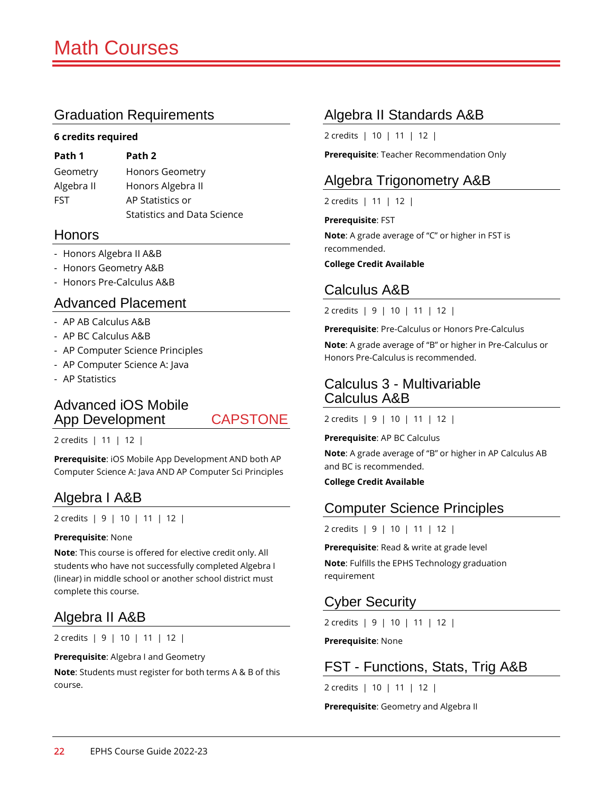#### **6 credits required**

| Path 1     | Path 2                             |
|------------|------------------------------------|
| Geometry   | Honors Geometry                    |
| Algebra II | Honors Algebra II                  |
| <b>FST</b> | AP Statistics or                   |
|            | <b>Statistics and Data Science</b> |

#### Honors

- Honors Algebra II A&B
- Honors Geometry A&B
- Honors Pre-Calculus A&B

#### Advanced Placement

- AP AB Calculus A&B
- AP BC Calculus A&B
- AP Computer Science Principles
- AP Computer Science A: Java
- AP Statistics

### Advanced iOS Mobile App Development CAPSTONE

2 credits | 11 | 12 |

**Prerequisite**: iOS Mobile App Development AND both AP Computer Science A: Java AND AP Computer Sci Principles

#### Algebra I A&B

2 credits | 9 | 10 | 11 | 12 |

#### **Prerequisite**: None

**Note**: This course is offered for elective credit only. All students who have not successfully completed Algebra I (linear) in middle school or another school district must complete this course.

# Algebra II A&B

2 credits | 9 | 10 | 11 | 12 |

**Prerequisite**: Algebra I and Geometry

**Note**: Students must register for both terms A & B of this course.

### Algebra II Standards A&B

2 credits | 10 | 11 | 12 |

**Prerequisite**: Teacher Recommendation Only

### Algebra Trigonometry A&B

2 credits | 11 | 12 |

#### **Prerequisite**: FST

**Note**: A grade average of "C" or higher in FST is recommended.

**College Credit Available**

#### Calculus A&B

2 credits | 9 | 10 | 11 | 12 |

**Prerequisite**: Pre-Calculus or Honors Pre-Calculus

**Note**: A grade average of "B" or higher in Pre-Calculus or Honors Pre-Calculus is recommended.

#### Calculus 3 - Multivariable Calculus A&B

2 credits | 9 | 10 | 11 | 12 |

**Prerequisite**: AP BC Calculus

**Note**: A grade average of "B" or higher in AP Calculus AB and BC is recommended.

**College Credit Available**

#### Computer Science Principles

2 credits | 9 | 10 | 11 | 12 |

**Prerequisite**: Read & write at grade level **Note**: Fulfills the EPHS Technology graduation requirement

# Cyber Security

2 credits | 9 | 10 | 11 | 12 |

**Prerequisite**: None

#### FST - Functions, Stats, Trig A&B

2 credits | 10 | 11 | 12 |

**Prerequisite**: Geometry and Algebra II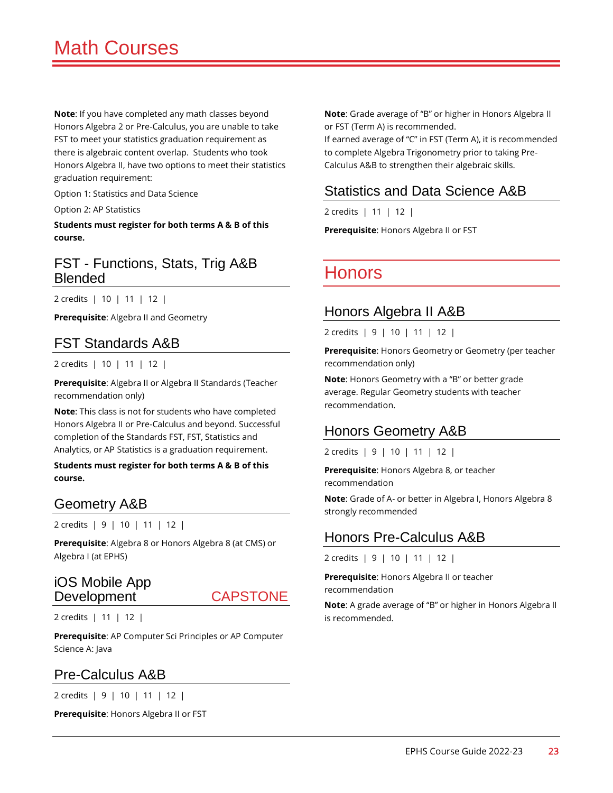**Note**: If you have completed any math classes beyond Honors Algebra 2 or Pre-Calculus, you are unable to take FST to meet your statistics graduation requirement as there is algebraic content overlap. Students who took Honors Algebra II, have two options to meet their statistics graduation requirement:

Option 1: Statistics and Data Science

Option 2: AP Statistics

**Students must register for both terms A & B of this course.**

#### FST - Functions, Stats, Trig A&B Blended

2 credits | 10 | 11 | 12 |

**Prerequisite**: Algebra II and Geometry

#### FST Standards A&B

2 credits | 10 | 11 | 12 |

**Prerequisite**: Algebra II or Algebra II Standards (Teacher recommendation only)

**Note**: This class is not for students who have completed Honors Algebra II or Pre-Calculus and beyond. Successful completion of the Standards FST, FST, Statistics and Analytics, or AP Statistics is a graduation requirement.

**Students must register for both terms A & B of this course.**

#### Geometry A&B

2 credits | 9 | 10 | 11 | 12 |

**Prerequisite**: Algebra 8 or Honors Algebra 8 (at CMS) or Algebra I (at EPHS)

#### iOS Mobile App Development CAPSTONE

2 credits | 11 | 12 |

**Prerequisite**: AP Computer Sci Principles or AP Computer Science A: Java

#### Pre-Calculus A&B

2 credits | 9 | 10 | 11 | 12 |

**Prerequisite**: Honors Algebra II or FST

**Note**: Grade average of "B" or higher in Honors Algebra II or FST (Term A) is recommended.

If earned average of "C" in FST (Term A), it is recommended to complete Algebra Trigonometry prior to taking Pre-Calculus A&B to strengthen their algebraic skills.

#### Statistics and Data Science A&B

2 credits | 11 | 12 |

**Prerequisite**: Honors Algebra II or FST

# Honors

#### Honors Algebra II A&B

2 credits | 9 | 10 | 11 | 12 |

**Prerequisite**: Honors Geometry or Geometry (per teacher recommendation only)

**Note**: Honors Geometry with a "B" or better grade average. Regular Geometry students with teacher recommendation.

#### Honors Geometry A&B

2 credits | 9 | 10 | 11 | 12 |

**Prerequisite**: Honors Algebra 8, or teacher recommendation

**Note**: Grade of A- or better in Algebra I, Honors Algebra 8 strongly recommended

#### Honors Pre-Calculus A&B

2 credits | 9 | 10 | 11 | 12 |

**Prerequisite**: Honors Algebra II or teacher recommendation

**Note**: A grade average of "B" or higher in Honors Algebra II is recommended.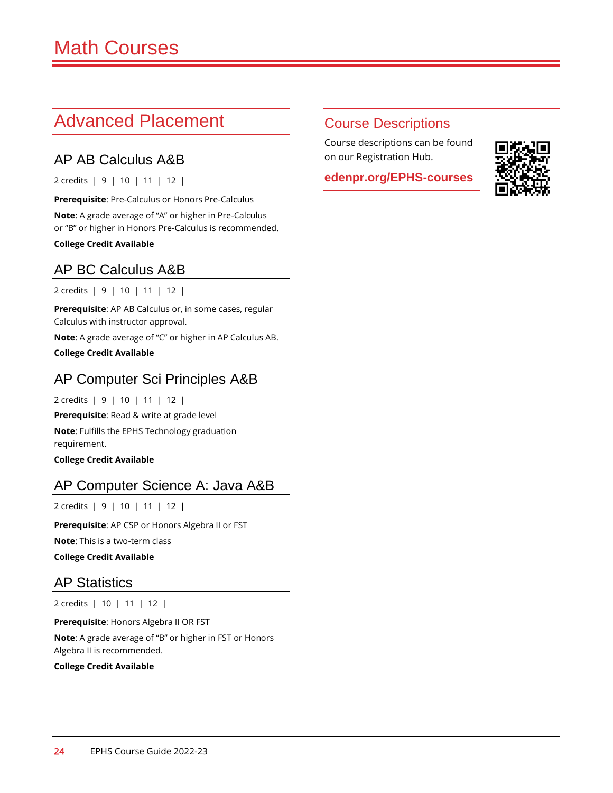# Advanced Placement

# AP AB Calculus A&B

2 credits | 9 | 10 | 11 | 12 |

**Prerequisite**: Pre-Calculus or Honors Pre-Calculus **Note**: A grade average of "A" or higher in Pre-Calculus or "B" or higher in Honors Pre-Calculus is recommended.

**College Credit Available**

# AP BC Calculus A&B

2 credits | 9 | 10 | 11 | 12 |

**Prerequisite**: AP AB Calculus or, in some cases, regular Calculus with instructor approval.

**Note**: A grade average of "C" or higher in AP Calculus AB.

**College Credit Available**

# AP Computer Sci Principles A&B

2 credits | 9 | 10 | 11 | 12 |

**Prerequisite**: Read & write at grade level

**Note**: Fulfills the EPHS Technology graduation requirement.

**College Credit Available**

# AP Computer Science A: Java A&B

2 credits | 9 | 10 | 11 | 12 |

**Prerequisite**: AP CSP or Honors Algebra II or FST

**Note**: This is a two-term class

**College Credit Available**

# AP Statistics

2 credits | 10 | 11 | 12 |

**Prerequisite**: Honors Algebra II OR FST **Note**: A grade average of "B" or higher in FST or Honors Algebra II is recommended.

**College Credit Available**

# Course Descriptions

Course descriptions can be found on our Registration Hub.

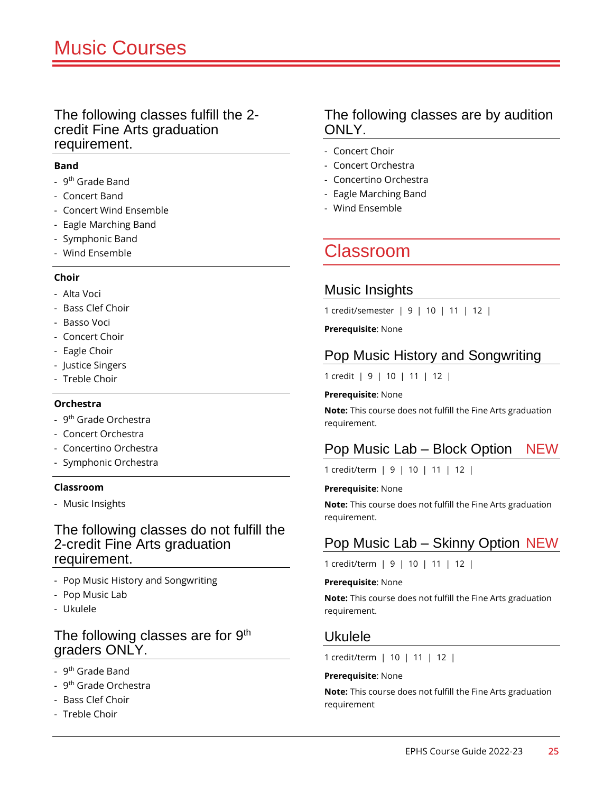#### The following classes fulfill the 2 credit Fine Arts graduation requirement.

#### **Band**

- 9<sup>th</sup> Grade Band
- Concert Band
- Concert Wind Ensemble
- Eagle Marching Band
- Symphonic Band
- Wind Ensemble

#### **Choir**

- Alta Voci
- Bass Clef Choir
- Basso Voci
- Concert Choir
- Eagle Choir
- Justice Singers
- Treble Choir

#### **Orchestra**

- 9<sup>th</sup> Grade Orchestra
- Concert Orchestra
- Concertino Orchestra
- Symphonic Orchestra

#### **Classroom**

- Music Insights

#### The following classes do not fulfill the 2-credit Fine Arts graduation requirement.

- Pop Music History and Songwriting
- Pop Music Lab
- Ukulele

#### The following classes are for 9<sup>th</sup> graders ONLY.

- 9<sup>th</sup> Grade Band
- 9<sup>th</sup> Grade Orchestra
- Bass Clef Choir
- Treble Choir

#### The following classes are by audition ONLY.

- Concert Choir
- Concert Orchestra
- Concertino Orchestra
- Eagle Marching Band
- Wind Ensemble

# Classroom

#### Music Insights

1 credit/semester | 9 | 10 | 11 | 12 |

**Prerequisite**: None

### Pop Music History and Songwriting

1 credit | 9 | 10 | 11 | 12 |

#### **Prerequisite**: None

**Note:** This course does not fulfill the Fine Arts graduation requirement.

# Pop Music Lab – Block Option NEW

1 credit/term | 9 | 10 | 11 | 12 |

#### **Prerequisite**: None

**Note:** This course does not fulfill the Fine Arts graduation requirement.

# Pop Music Lab – Skinny Option NEW

1 credit/term | 9 | 10 | 11 | 12 |

#### **Prerequisite**: None

**Note:** This course does not fulfill the Fine Arts graduation requirement.

#### Ukulele

1 credit/term | 10 | 11 | 12 |

#### **Prerequisite**: None

**Note:** This course does not fulfill the Fine Arts graduation requirement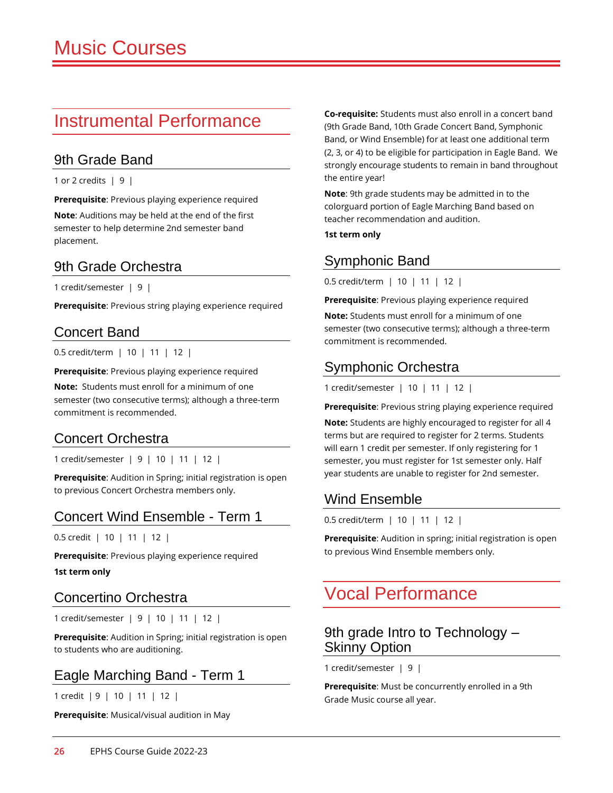# Instrumental Performance

#### 9th Grade Band

1 or 2 credits | 9 |

**Prerequisite**: Previous playing experience required

**Note**: Auditions may be held at the end of the first semester to help determine 2nd semester band placement.

#### 9th Grade Orchestra

1 credit/semester | 9 |

**Prerequisite**: Previous string playing experience required

#### Concert Band

0.5 credit/term | 10 | 11 | 12 |

**Prerequisite**: Previous playing experience required

**Note:** Students must enroll for a minimum of one semester (two consecutive terms); although a three-term commitment is recommended.

#### Concert Orchestra

1 credit/semester | 9 | 10 | 11 | 12 |

**Prerequisite**: Audition in Spring; initial registration is open to previous Concert Orchestra members only.

#### Concert Wind Ensemble - Term 1

0.5 credit | 10 | 11 | 12 |

**Prerequisite**: Previous playing experience required

**1st term only**

#### Concertino Orchestra

1 credit/semester | 9 | 10 | 11 | 12 |

**Prerequisite**: Audition in Spring; initial registration is open to students who are auditioning.

#### Eagle Marching Band - Term 1

1 credit | 9 | 10 | 11 | 12 |

**Prerequisite**: Musical/visual audition in May

**Co-requisite:** Students must also enroll in a concert band (9th Grade Band, 10th Grade Concert Band, Symphonic Band, or Wind Ensemble) for at least one additional term (2, 3, or 4) to be eligible for participation in Eagle Band. We strongly encourage students to remain in band throughout the entire year!

**Note**: 9th grade students may be admitted in to the colorguard portion of Eagle Marching Band based on teacher recommendation and audition.

**1st term only**

#### Symphonic Band

0.5 credit/term | 10 | 11 | 12 |

**Prerequisite**: Previous playing experience required

**Note:** Students must enroll for a minimum of one semester (two consecutive terms); although a three-term commitment is recommended.

### Symphonic Orchestra

1 credit/semester | 10 | 11 | 12 |

**Prerequisite**: Previous string playing experience required

**Note:** Students are highly encouraged to register for all 4 terms but are required to register for 2 terms. Students will earn 1 credit per semester. If only registering for 1 semester, you must register for 1st semester only. Half year students are unable to register for 2nd semester.

#### Wind Ensemble

0.5 credit/term | 10 | 11 | 12 |

**Prerequisite**: Audition in spring; initial registration is open to previous Wind Ensemble members only.

# Vocal Performance

#### 9th grade Intro to Technology – Skinny Option

1 credit/semester | 9 |

**Prerequisite**: Must be concurrently enrolled in a 9th Grade Music course all year.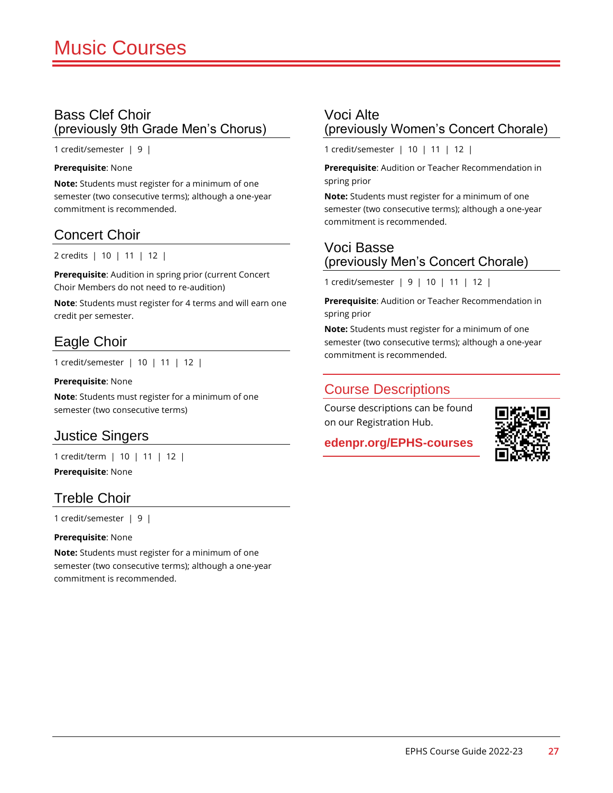#### Bass Clef Choir (previously 9th Grade Men's Chorus)

1 credit/semester | 9 |

#### **Prerequisite**: None

**Note:** Students must register for a minimum of one semester (two consecutive terms); although a one-year commitment is recommended.

#### Concert Choir

2 credits | 10 | 11 | 12 |

**Prerequisite**: Audition in spring prior (current Concert Choir Members do not need to re-audition)

**Note**: Students must register for 4 terms and will earn one credit per semester.

# Eagle Choir

1 credit/semester | 10 | 11 | 12 |

#### **Prerequisite**: None

**Note**: Students must register for a minimum of one semester (two consecutive terms)

#### Justice Singers

1 credit/term | 10 | 11 | 12 |

**Prerequisite**: None

#### Treble Choir

1 credit/semester | 9 |

**Prerequisite**: None

**Note:** Students must register for a minimum of one semester (two consecutive terms); although a one-year commitment is recommended.

#### Voci Alte (previously Women's Concert Chorale)

1 credit/semester | 10 | 11 | 12 |

**Prerequisite**: Audition or Teacher Recommendation in spring prior

**Note:** Students must register for a minimum of one semester (two consecutive terms); although a one-year commitment is recommended.

#### Voci Basse (previously Men's Concert Chorale)

1 credit/semester | 9 | 10 | 11 | 12 |

**Prerequisite**: Audition or Teacher Recommendation in spring prior

**Note:** Students must register for a minimum of one semester (two consecutive terms); although a one-year commitment is recommended.

#### Course Descriptions

Course descriptions can be found on our Registration Hub.

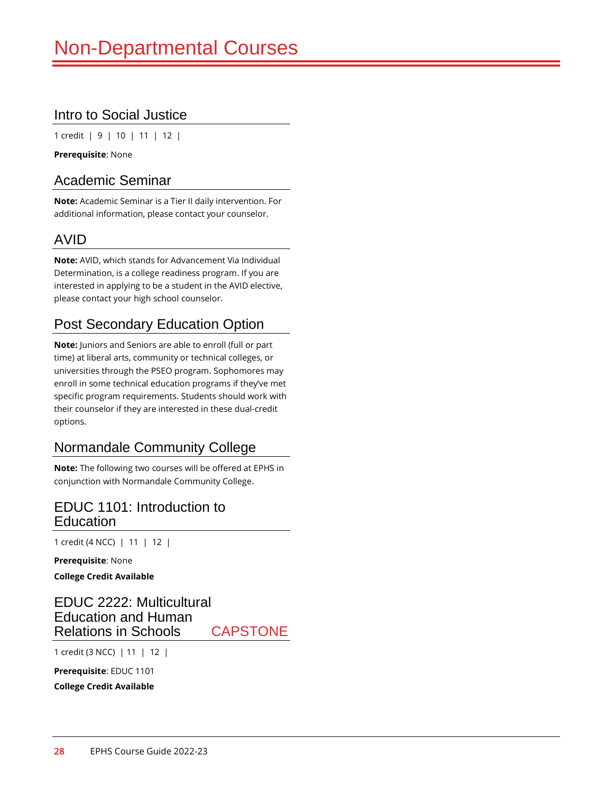### Intro to Social Justice

1 credit | 9 | 10 | 11 | 12 |

**Prerequisite**: None

#### Academic Seminar

**Note:** Academic Seminar is a Tier II daily intervention. For additional information, please contact your counselor.

# AVID

**Note:** AVID, which stands for Advancement Via Individual Determination, is a college readiness program. If you are interested in applying to be a student in the AVID elective, please contact your high school counselor.

# Post Secondary Education Option

**Note:** Juniors and Seniors are able to enroll (full or part time) at liberal arts, community or technical colleges, or universities through the PSEO program. Sophomores may enroll in some technical education programs if they've met specific program requirements. Students should work with their counselor if they are interested in these dual-credit options.

# Normandale Community College

**Note:** The following two courses will be offered at EPHS in conjunction with Normandale Community College.

#### EDUC 1101: Introduction to Education

1 credit (4 NCC) | 11 | 12 |

**Prerequisite**: None

**College Credit Available**

#### EDUC 2222: Multicultural Education and Human Relations in Schools CAPSTONE

1 credit (3 NCC) | 11 | 12 |

**Prerequisite**: EDUC 1101

**College Credit Available**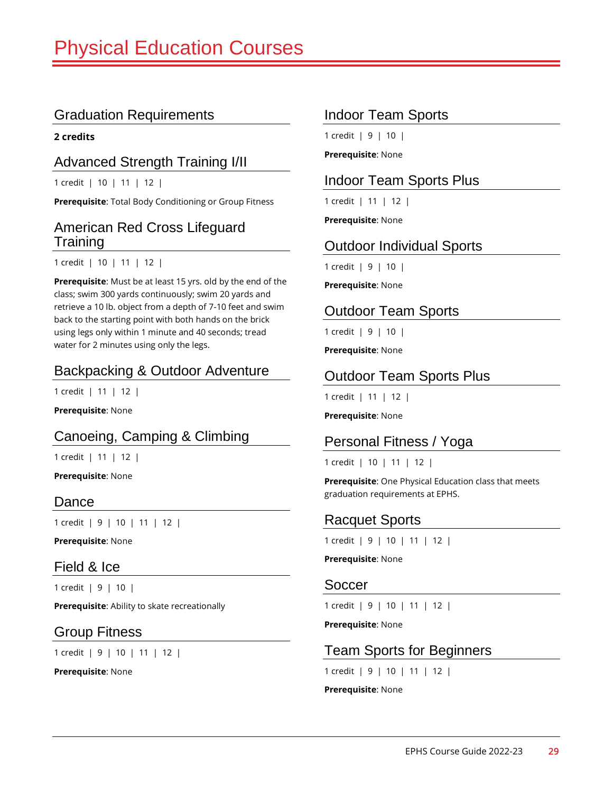**2 credits**

#### Advanced Strength Training I/II

1 credit | 10 | 11 | 12 |

**Prerequisite**: Total Body Conditioning or Group Fitness

#### American Red Cross Lifeguard **Training**

1 credit | 10 | 11 | 12 |

**Prerequisite**: Must be at least 15 yrs. old by the end of the class; swim 300 yards continuously; swim 20 yards and retrieve a 10 lb. object from a depth of 7-10 feet and swim back to the starting point with both hands on the brick using legs only within 1 minute and 40 seconds; tread water for 2 minutes using only the legs.

#### Backpacking & Outdoor Adventure

1 credit | 11 | 12 |

**Prerequisite**: None

#### Canoeing, Camping & Climbing

1 credit | 11 | 12 |

**Prerequisite**: None

#### Dance

1 credit | 9 | 10 | 11 | 12 |

**Prerequisite**: None

#### Field & Ice

1 credit | 9 | 10 |

**Prerequisite**: Ability to skate recreationally

#### Group Fitness

1 credit | 9 | 10 | 11 | 12 |

**Prerequisite**: None

### Indoor Team Sports

1 credit | 9 | 10 |

**Prerequisite**: None

#### Indoor Team Sports Plus

1 credit | 11 | 12 |

**Prerequisite**: None

#### Outdoor Individual Sports

1 credit | 9 | 10 |

**Prerequisite**: None

#### Outdoor Team Sports

1 credit | 9 | 10 |

**Prerequisite**: None

#### Outdoor Team Sports Plus

1 credit | 11 | 12 |

**Prerequisite**: None

#### Personal Fitness / Yoga

1 credit | 10 | 11 | 12 |

**Prerequisite**: One Physical Education class that meets graduation requirements at EPHS.

#### Racquet Sports

1 credit | 9 | 10 | 11 | 12 |

**Prerequisite**: None

#### Soccer

1 credit | 9 | 10 | 11 | 12 |

**Prerequisite**: None

#### Team Sports for Beginners

1 credit | 9 | 10 | 11 | 12 |

**Prerequisite**: None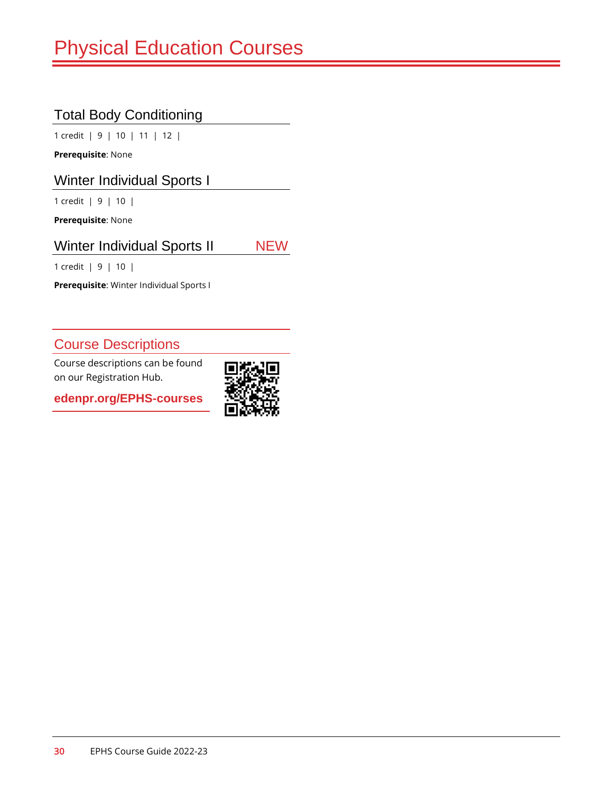# Total Body Conditioning

1 credit | 9 | 10 | 11 | 12 |

**Prerequisite**: None

Winter Individual Sports I

1 credit | 9 | 10 |

**Prerequisite**: None

#### Winter Individual Sports II NEW

1 credit | 9 | 10 |

**Prerequisite**: Winter Individual Sports I

# Course Descriptions

Course descriptions can be found on our Registration Hub.

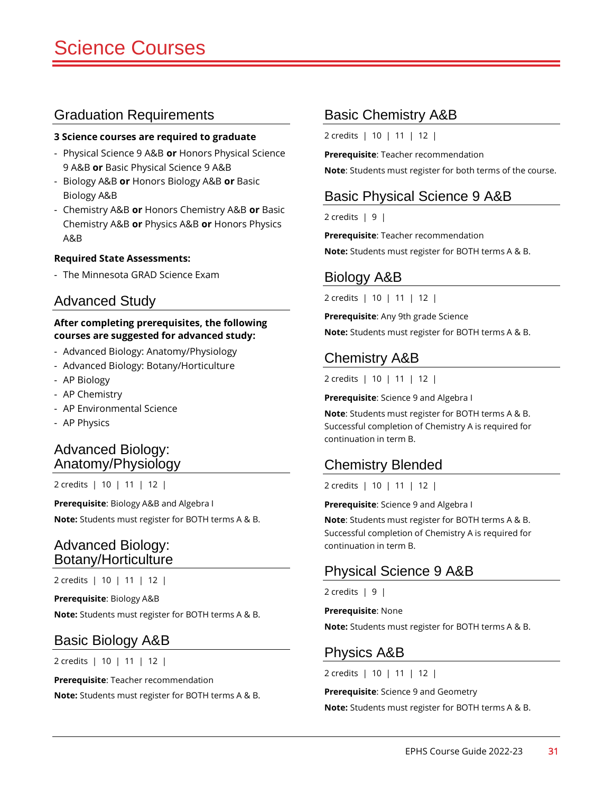#### **3 Science courses are required to graduate**

- Physical Science 9 A&B **or** Honors Physical Science 9 A&B **or** Basic Physical Science 9 A&B
- Biology A&B **or** Honors Biology A&B **or** Basic Biology A&B
- Chemistry A&B **or** Honors Chemistry A&B **or** Basic Chemistry A&B **or** Physics A&B **or** Honors Physics A&B

#### **Required State Assessments:**

- The Minnesota GRAD Science Exam

#### Advanced Study

#### **After completing prerequisites, the following courses are suggested for advanced study:**

- Advanced Biology: Anatomy/Physiology
- Advanced Biology: Botany/Horticulture
- AP Biology
- AP Chemistry
- AP Environmental Science
- AP Physics

#### Advanced Biology: Anatomy/Physiology

2 credits | 10 | 11 | 12 |

**Prerequisite**: Biology A&B and Algebra I **Note:** Students must register for BOTH terms A & B.

#### Advanced Biology: Botany/Horticulture

2 credits | 10 | 11 | 12 |

**Prerequisite**: Biology A&B **Note:** Students must register for BOTH terms A & B.

#### Basic Biology A&B

2 credits | 10 | 11 | 12 |

**Prerequisite**: Teacher recommendation **Note:** Students must register for BOTH terms A & B.

#### Basic Chemistry A&B

2 credits | 10 | 11 | 12 |

**Prerequisite**: Teacher recommendation **Note**: Students must register for both terms of the course.

#### Basic Physical Science 9 A&B

 $2$  credits  $\vert 9 \vert$ 

**Prerequisite**: Teacher recommendation **Note:** Students must register for BOTH terms A & B.

#### Biology A&B

2 credits | 10 | 11 | 12 |

**Prerequisite**: Any 9th grade Science **Note:** Students must register for BOTH terms A & B.

# Chemistry A&B

2 credits | 10 | 11 | 12 |

**Prerequisite**: Science 9 and Algebra I

**Note**: Students must register for BOTH terms A & B. Successful completion of Chemistry A is required for continuation in term B.

#### Chemistry Blended

2 credits | 10 | 11 | 12 |

**Prerequisite**: Science 9 and Algebra I

**Note**: Students must register for BOTH terms A & B. Successful completion of Chemistry A is required for continuation in term B.

#### Physical Science 9 A&B

2 credits  $\vert 9 \vert$ 

**Prerequisite**: None

**Note:** Students must register for BOTH terms A & B.

#### Physics A&B

2 credits | 10 | 11 | 12 |

**Prerequisite**: Science 9 and Geometry **Note:** Students must register for BOTH terms A & B.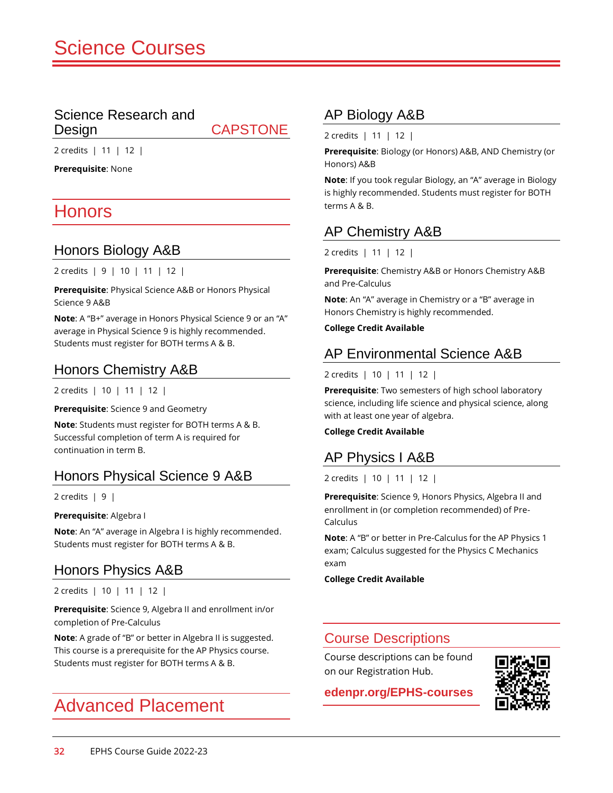#### Science Research and Design CAPSTONE

2 credits | 11 | 12 |

**Prerequisite**: None

# Honors

#### Honors Biology A&B

2 credits | 9 | 10 | 11 | 12 |

**Prerequisite**: Physical Science A&B or Honors Physical Science 9 A&B

**Note**: A "B+" average in Honors Physical Science 9 or an "A" average in Physical Science 9 is highly recommended. Students must register for BOTH terms A & B.

#### Honors Chemistry A&B

2 credits | 10 | 11 | 12 |

**Prerequisite**: Science 9 and Geometry

**Note**: Students must register for BOTH terms A & B. Successful completion of term A is required for continuation in term B.

#### Honors Physical Science 9 A&B

2 credits  $\vert 9 \vert$ 

**Prerequisite**: Algebra I

**Note**: An "A" average in Algebra I is highly recommended. Students must register for BOTH terms A & B.

#### Honors Physics A&B

2 credits | 10 | 11 | 12 |

**Prerequisite**: Science 9, Algebra II and enrollment in/or completion of Pre-Calculus

**Note**: A grade of "B" or better in Algebra II is suggested. This course is a prerequisite for the AP Physics course. Students must register for BOTH terms A & B.

# Advanced Placement

#### AP Biology A&B

2 credits | 11 | 12 |

**Prerequisite**: Biology (or Honors) A&B, AND Chemistry (or Honors) A&B

**Note**: If you took regular Biology, an "A" average in Biology is highly recommended. Students must register for BOTH terms A & B.

#### AP Chemistry A&B

2 credits | 11 | 12 |

**Prerequisite**: Chemistry A&B or Honors Chemistry A&B and Pre-Calculus

**Note**: An "A" average in Chemistry or a "B" average in Honors Chemistry is highly recommended.

**College Credit Available**

#### AP Environmental Science A&B

#### 2 credits | 10 | 11 | 12 |

**Prerequisite**: Two semesters of high school laboratory science, including life science and physical science, along with at least one year of algebra.

#### **College Credit Available**

# AP Physics I A&B

2 credits | 10 | 11 | 12 |

**Prerequisite**: Science 9, Honors Physics, Algebra II and enrollment in (or completion recommended) of Pre-Calculus

**Note**: A "B" or better in Pre-Calculus for the AP Physics 1 exam; Calculus suggested for the Physics C Mechanics exam

**College Credit Available**

#### Course Descriptions

Course descriptions can be found on our Registration Hub.

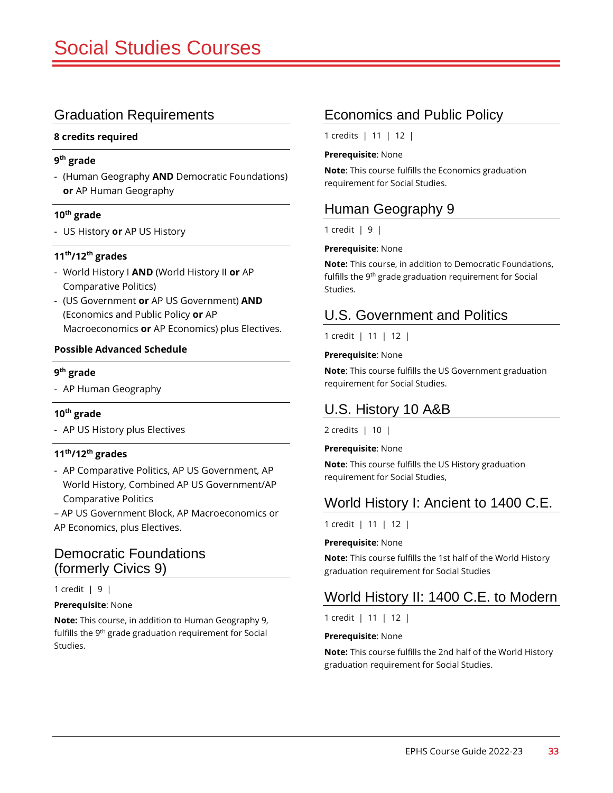#### **8 credits required**

#### **9 th grade**

- (Human Geography **AND** Democratic Foundations) **or** AP Human Geography

#### **10th grade**

- US History **or** AP US History

#### **11th/12th grades**

- World History I **AND** (World History II **or** AP Comparative Politics)
- (US Government **or** AP US Government) **AND** (Economics and Public Policy **or** AP Macroeconomics **or** AP Economics) plus Electives.

#### **Possible Advanced Schedule**

#### **9 th grade**

- AP Human Geography

#### **10th grade**

- AP US History plus Electives

#### **11th/12th grades**

- AP Comparative Politics, AP US Government, AP World History, Combined AP US Government/AP Comparative Politics

– AP US Government Block, AP Macroeconomics or AP Economics, plus Electives.

#### Democratic Foundations (formerly Civics 9)

#### 1 credit | 9 |

#### **Prerequisite**: None

**Note:** This course, in addition to Human Geography 9, fulfills the 9<sup>th</sup> grade graduation requirement for Social Studies.

#### Economics and Public Policy

1 credits | 11 | 12 |

#### **Prerequisite**: None

**Note**: This course fulfills the Economics graduation requirement for Social Studies.

### Human Geography 9

1 credit | 9 |

#### **Prerequisite**: None

**Note:** This course, in addition to Democratic Foundations, fulfills the 9th grade graduation requirement for Social Studies.

#### U.S. Government and Politics

1 credit | 11 | 12 |

#### **Prerequisite**: None

**Note**: This course fulfills the US Government graduation requirement for Social Studies.

# U.S. History 10 A&B

2 credits | 10 |

#### **Prerequisite**: None

**Note**: This course fulfills the US History graduation requirement for Social Studies,

#### World History I: Ancient to 1400 C.E.

1 credit | 11 | 12 |

#### **Prerequisite**: None

**Note:** This course fulfills the 1st half of the World History graduation requirement for Social Studies

# World History II: 1400 C.E. to Modern

1 credit | 11 | 12 |

#### **Prerequisite**: None

**Note:** This course fulfills the 2nd half of the World History graduation requirement for Social Studies.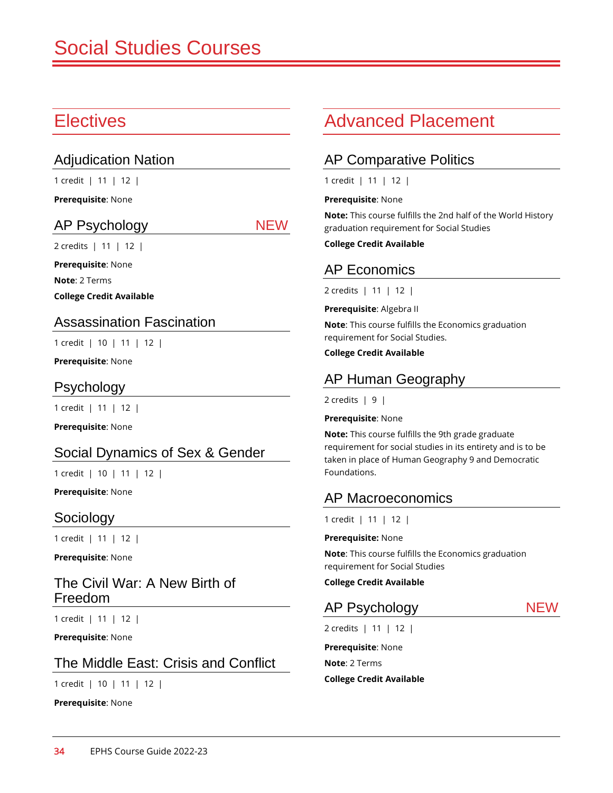# **Electives**

#### Adjudication Nation

1 credit | 11 | 12 |

**Prerequisite**: None

#### AP Psychology NEW

2 credits | 11 | 12 |

**Prerequisite**: None

**Note**: 2 Terms

**College Credit Available**

#### Assassination Fascination

1 credit | 10 | 11 | 12 |

**Prerequisite**: None

#### Psychology

1 credit | 11 | 12 |

**Prerequisite**: None

#### Social Dynamics of Sex & Gender

1 credit | 10 | 11 | 12 |

**Prerequisite**: None

#### Sociology

1 credit | 11 | 12 |

**Prerequisite**: None

#### The Civil War: A New Birth of Freedom

1 credit | 11 | 12 |

**Prerequisite**: None

#### The Middle East: Crisis and Conflict

1 credit | 10 | 11 | 12 |

**Prerequisite**: None

# Advanced Placement

#### AP Comparative Politics

1 credit | 11 | 12 |

#### **Prerequisite**: None

**Note:** This course fulfills the 2nd half of the World History graduation requirement for Social Studies

**College Credit Available**

# AP Economics

2 credits | 11 | 12 |

**Prerequisite**: Algebra II

**Note**: This course fulfills the Economics graduation requirement for Social Studies.

#### **College Credit Available**

### AP Human Geography

 $2$  credits  $\vert 9 \vert$ 

#### **Prerequisite**: None

**Note:** This course fulfills the 9th grade graduate requirement for social studies in its entirety and is to be taken in place of Human Geography 9 and Democratic Foundations.

#### AP Macroeconomics

1 credit | 11 | 12 |

**Prerequisite:** None

**Note**: This course fulfills the Economics graduation requirement for Social Studies

**College Credit Available**

#### AP Psychology NEW

2 credits | 11 | 12 |

**Prerequisite**: None **Note**: 2 Terms **College Credit Available**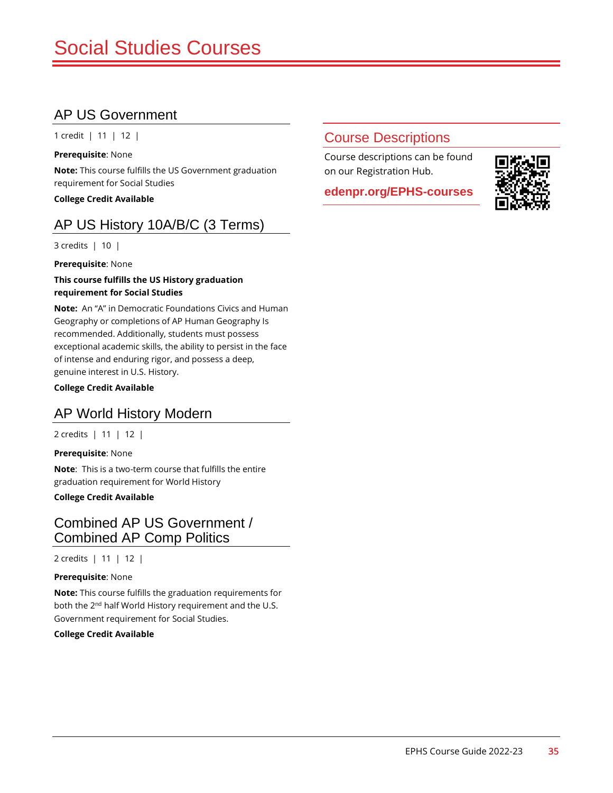# AP US Government

1 credit | 11 | 12 |

**Prerequisite**: None **Note:** This course fulfills the US Government graduation requirement for Social Studies

**College Credit Available**

# AP US History 10A/B/C (3 Terms)

3 credits | 10 |

**Prerequisite**: None

#### **This course fulfills the US History graduation requirement for Social Studies**

**Note:** An "A" in Democratic Foundations Civics and Human Geography or completions of AP Human Geography Is recommended. Additionally, students must possess exceptional academic skills, the ability to persist in the face of intense and enduring rigor, and possess a deep, genuine interest in U.S. History.

**College Credit Available**

#### AP World History Modern

2 credits | 11 | 12 |

**Prerequisite**: None **Note**: This is a two-term course that fulfills the entire graduation requirement for World History

**College Credit Available**

#### Combined AP US Government / Combined AP Comp Politics

2 credits | 11 | 12 |

**Prerequisite**: None

**Note:** This course fulfills the graduation requirements for both the 2<sup>nd</sup> half World History requirement and the U.S. Government requirement for Social Studies.

**College Credit Available**

### Course Descriptions

Course descriptions can be found on our Registration Hub.

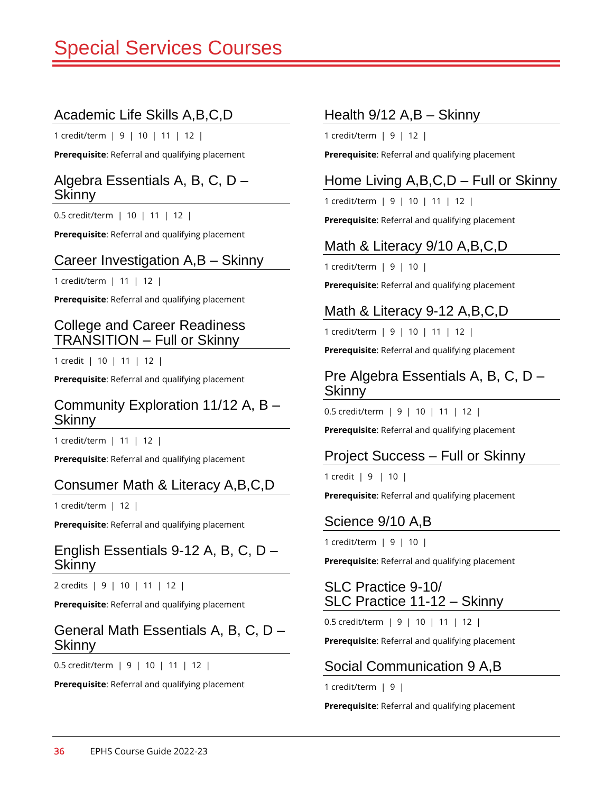# pecial Services Courses

### Academic Life Skills A,B,C,D

1 credit/term | 9 | 10 | 11 | 12 |

**Prerequisite**: Referral and qualifying placement

#### Algebra Essentials A, B, C, D – Skinny

0.5 credit/term | 10 | 11 | 12 |

**Prerequisite**: Referral and qualifying placement

#### Career Investigation A,B – Skinny

1 credit/term | 11 | 12 |

**Prerequisite**: Referral and qualifying placement

#### College and Career Readiness TRANSITION – Full or Skinny

1 credit | 10 | 11 | 12 |

**Prerequisite**: Referral and qualifying placement

#### Community Exploration 11/12 A, B – **Skinny**

1 credit/term | 11 | 12 |

**Prerequisite**: Referral and qualifying placement

#### Consumer Math & Literacy A,B,C,D

1 credit/term | 12 |

**Prerequisite**: Referral and qualifying placement

#### English Essentials 9-12 A, B, C, D – Skinny

2 credits | 9 | 10 | 11 | 12 |

**Prerequisite**: Referral and qualifying placement

#### General Math Essentials A, B, C, D – Skinny

0.5 credit/term | 9 | 10 | 11 | 12 |

**Prerequisite**: Referral and qualifying placement

#### Health 9/12 A,B – Skinny

1 credit/term | 9 | 12 |

**Prerequisite**: Referral and qualifying placement

# Home Living A,B,C,D – Full or Skinny

1 credit/term | 9 | 10 | 11 | 12 |

**Prerequisite**: Referral and qualifying placement

# Math & Literacy 9/10 A,B,C,D

1 credit/term | 9 | 10 |

**Prerequisite**: Referral and qualifying placement

### Math & Literacy 9-12 A,B,C,D

1 credit/term | 9 | 10 | 11 | 12 |

**Prerequisite**: Referral and qualifying placement

#### Pre Algebra Essentials A, B, C, D – **Skinny**

0.5 credit/term | 9 | 10 | 11 | 12 |

**Prerequisite**: Referral and qualifying placement

#### Project Success – Full or Skinny

1 credit | 9 | 10 |

**Prerequisite**: Referral and qualifying placement

#### Science 9/10 A,B

1 credit/term | 9 | 10 |

**Prerequisite**: Referral and qualifying placement

#### SLC Practice 9-10/ SLC Practice 11-12 – Skinny

0.5 credit/term | 9 | 10 | 11 | 12 |

**Prerequisite**: Referral and qualifying placement

#### Social Communication 9 A,B

1 credit/term | 9 |

**Prerequisite**: Referral and qualifying placement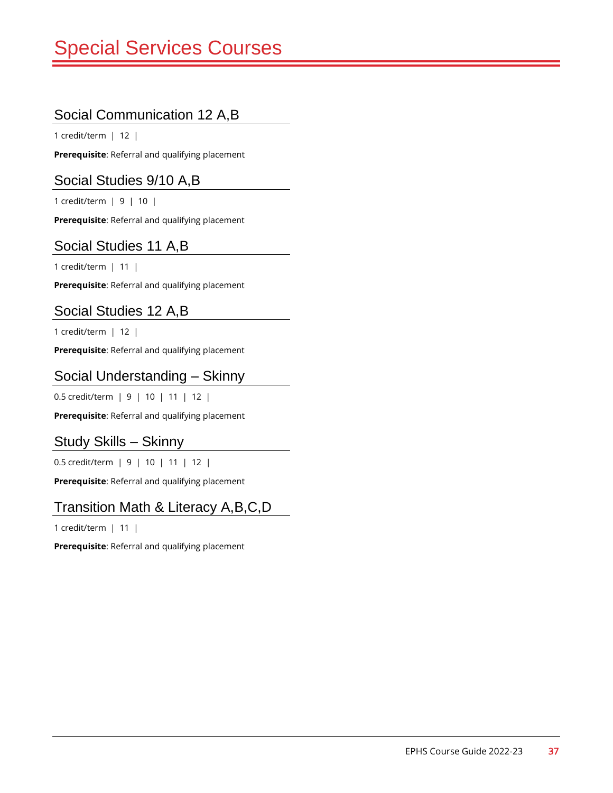# Special Services Courses

# Social Communication 12 A,B

1 credit/term | 12 |

**Prerequisite**: Referral and qualifying placement

#### Social Studies 9/10 A,B

1 credit/term | 9 | 10 |

**Prerequisite**: Referral and qualifying placement

#### Social Studies 11 A,B

1 credit/term | 11 |

**Prerequisite**: Referral and qualifying placement

### Social Studies 12 A,B

1 credit/term | 12 |

**Prerequisite**: Referral and qualifying placement

#### Social Understanding – Skinny

0.5 credit/term | 9 | 10 | 11 | 12 |

**Prerequisite**: Referral and qualifying placement

#### Study Skills – Skinny

0.5 credit/term | 9 | 10 | 11 | 12 |

**Prerequisite**: Referral and qualifying placement

# Transition Math & Literacy A,B,C,D

1 credit/term | 11 |

**Prerequisite**: Referral and qualifying placement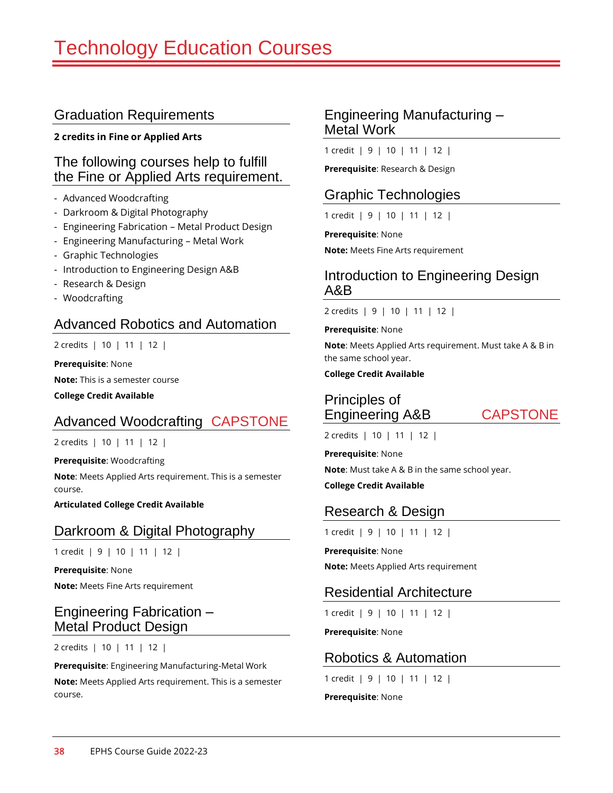#### **2 credits in Fine or Applied Arts**

#### The following courses help to fulfill the Fine or Applied Arts requirement.

- Advanced Woodcrafting
- Darkroom & Digital Photography
- Engineering Fabrication Metal Product Design
- Engineering Manufacturing Metal Work
- Graphic Technologies
- Introduction to Engineering Design A&B
- Research & Design
- Woodcrafting

#### Advanced Robotics and Automation

2 credits | 10 | 11 | 12 |

**Prerequisite**: None **Note:** This is a semester course

**College Credit Available**

# Advanced Woodcrafting CAPSTONE

2 credits | 10 | 11 | 12 |

**Prerequisite**: Woodcrafting

**Note**: Meets Applied Arts requirement. This is a semester course.

**Articulated College Credit Available**

#### Darkroom & Digital Photography

1 credit | 9 | 10 | 11 | 12 |

**Prerequisite**: None **Note:** Meets Fine Arts requirement

#### Engineering Fabrication – Metal Product Design

2 credits | 10 | 11 | 12 |

**Prerequisite**: Engineering Manufacturing-Metal Work

**Note:** Meets Applied Arts requirement. This is a semester course.

#### Engineering Manufacturing – Metal Work

1 credit | 9 | 10 | 11 | 12 |

**Prerequisite**: Research & Design

#### Graphic Technologies

1 credit | 9 | 10 | 11 | 12 |

**Prerequisite**: None

**Note:** Meets Fine Arts requirement

#### Introduction to Engineering Design A&B

2 credits | 9 | 10 | 11 | 12 |

#### **Prerequisite**: None

**Note**: Meets Applied Arts requirement. Must take A & B in the same school year.

#### **College Credit Available**

Principles of Engineering A&B CAPSTONE

2 credits | 10 | 11 | 12 |

**Prerequisite**: None

**Note**: Must take A & B in the same school year.

**College Credit Available**

#### Research & Design

1 credit | 9 | 10 | 11 | 12 |

**Prerequisite**: None **Note:** Meets Applied Arts requirement

#### Residential Architecture

1 credit | 9 | 10 | 11 | 12 |

**Prerequisite**: None

#### Robotics & Automation

1 credit | 9 | 10 | 11 | 12 |

**Prerequisite**: None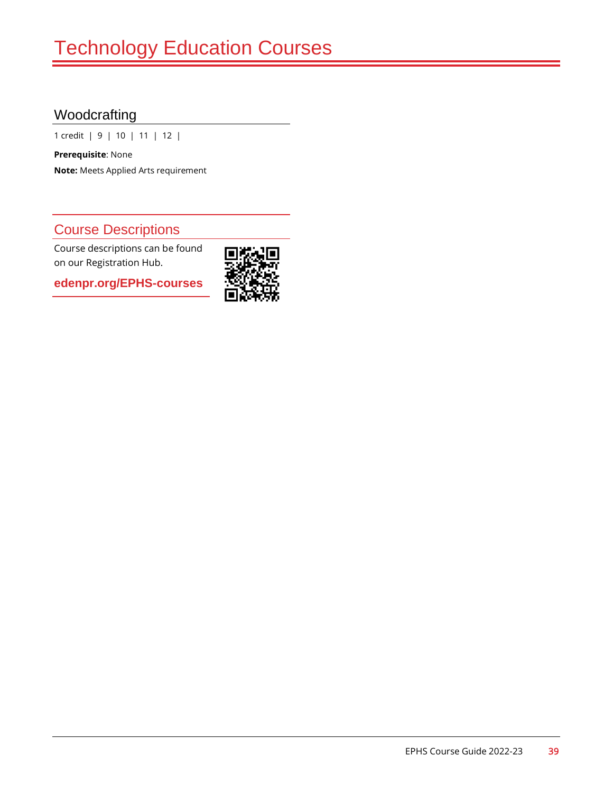# Woodcrafting

1 credit | 9 | 10 | 11 | 12 |

**Prerequisite**: None **Note:** Meets Applied Arts requirement

### Course Descriptions

Course descriptions can be found on our Registration Hub.

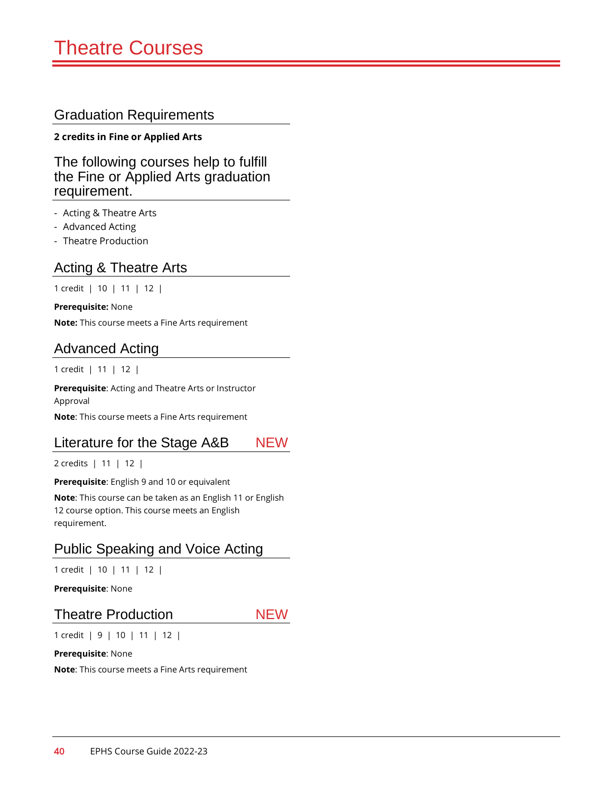#### **2 credits in Fine or Applied Arts**

The following courses help to fulfill the Fine or Applied Arts graduation requirement.

- Acting & Theatre Arts
- Advanced Acting
- Theatre Production

### Acting & Theatre Arts

1 credit | 10 | 11 | 12 |

**Prerequisite:** None

**Note:** This course meets a Fine Arts requirement

#### Advanced Acting

1 credit | 11 | 12 |

**Prerequisite**: Acting and Theatre Arts or Instructor Approval

**Note**: This course meets a Fine Arts requirement

#### Literature for the Stage A&B NEW

2 credits | 11 | 12 |

**Prerequisite**: English 9 and 10 or equivalent

**Note**: This course can be taken as an English 11 or English 12 course option. This course meets an English requirement.

### Public Speaking and Voice Acting

1 credit | 10 | 11 | 12 |

**Prerequisite**: None

#### Theatre Production NEW

1 credit | 9 | 10 | 11 | 12 |

**Prerequisite**: None

**Note**: This course meets a Fine Arts requirement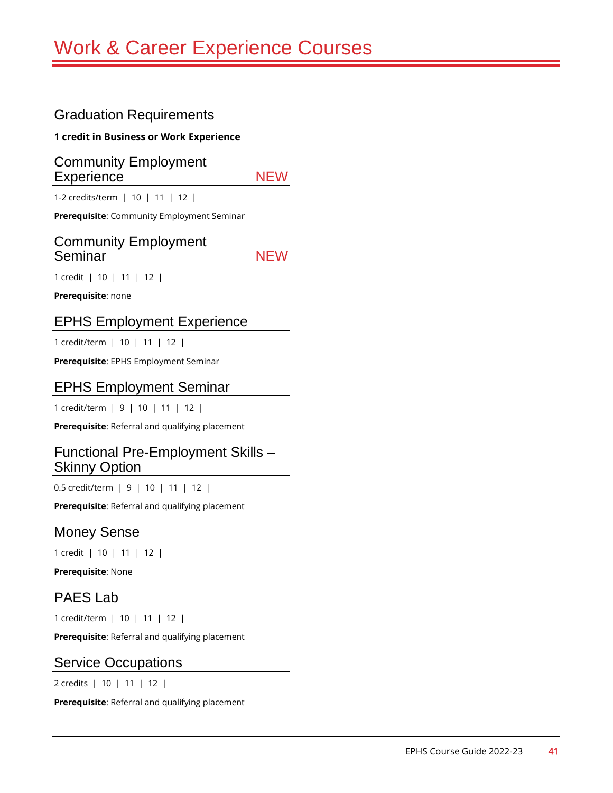**1 credit in Business or Work Experience**

Community Employment Experience NEW

1-2 credits/term | 10 | 11 | 12 |

**Prerequisite**: Community Employment Seminar

#### Community Employment Seminar NEW

1 credit | 10 | 11 | 12 |

**Prerequisite**: none

#### EPHS Employment Experience

1 credit/term | 10 | 11 | 12 |

**Prerequisite**: EPHS Employment Seminar

#### EPHS Employment Seminar

1 credit/term | 9 | 10 | 11 | 12 |

**Prerequisite**: Referral and qualifying placement

#### Functional Pre-Employment Skills – Skinny Option

0.5 credit/term | 9 | 10 | 11 | 12 |

**Prerequisite**: Referral and qualifying placement

#### Money Sense

1 credit | 10 | 11 | 12 |

**Prerequisite**: None

#### PAES Lab

1 credit/term | 10 | 11 | 12 |

**Prerequisite**: Referral and qualifying placement

#### Service Occupations

2 credits | 10 | 11 | 12 |

**Prerequisite**: Referral and qualifying placement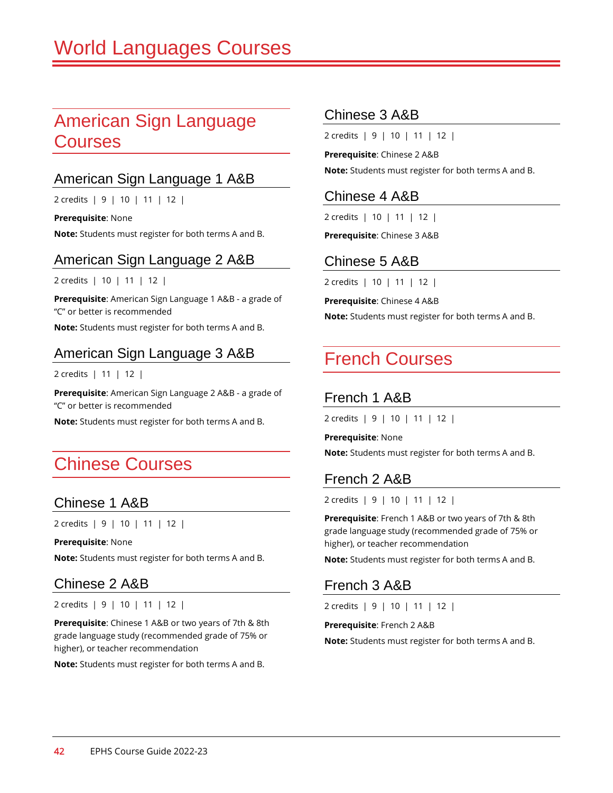# American Sign Language **Courses**

#### American Sign Language 1 A&B

2 credits | 9 | 10 | 11 | 12 |

**Prerequisite**: None **Note:** Students must register for both terms A and B.

American Sign Language 2 A&B

2 credits | 10 | 11 | 12 |

**Prerequisite**: American Sign Language 1 A&B - a grade of "C" or better is recommended

**Note:** Students must register for both terms A and B.

#### American Sign Language 3 A&B

2 credits | 11 | 12 |

**Prerequisite**: American Sign Language 2 A&B - a grade of "C" or better is recommended

**Note:** Students must register for both terms A and B.

# Chinese Courses

#### Chinese 1 A&B

2 credits | 9 | 10 | 11 | 12 |

**Prerequisite**: None

**Note:** Students must register for both terms A and B.

#### Chinese 2 A&B

2 credits | 9 | 10 | 11 | 12 |

**Prerequisite**: Chinese 1 A&B or two years of 7th & 8th grade language study (recommended grade of 75% or higher), or teacher recommendation

**Note:** Students must register for both terms A and B.

#### Chinese 3 A&B

2 credits | 9 | 10 | 11 | 12 |

**Prerequisite**: Chinese 2 A&B **Note:** Students must register for both terms A and B.

#### Chinese 4 A&B

2 credits | 10 | 11 | 12 |

**Prerequisite**: Chinese 3 A&B

#### Chinese 5 A&B

2 credits | 10 | 11 | 12 |

**Prerequisite**: Chinese 4 A&B

**Note:** Students must register for both terms A and B.

# French Courses

#### French 1 A&B

2 credits | 9 | 10 | 11 | 12 |

**Prerequisite**: None

**Note:** Students must register for both terms A and B.

#### French 2 A&B

2 credits | 9 | 10 | 11 | 12 |

**Prerequisite**: French 1 A&B or two years of 7th & 8th grade language study (recommended grade of 75% or higher), or teacher recommendation

**Note:** Students must register for both terms A and B.

#### French 3 A&B

2 credits | 9 | 10 | 11 | 12 |

**Prerequisite**: French 2 A&B

**Note:** Students must register for both terms A and B.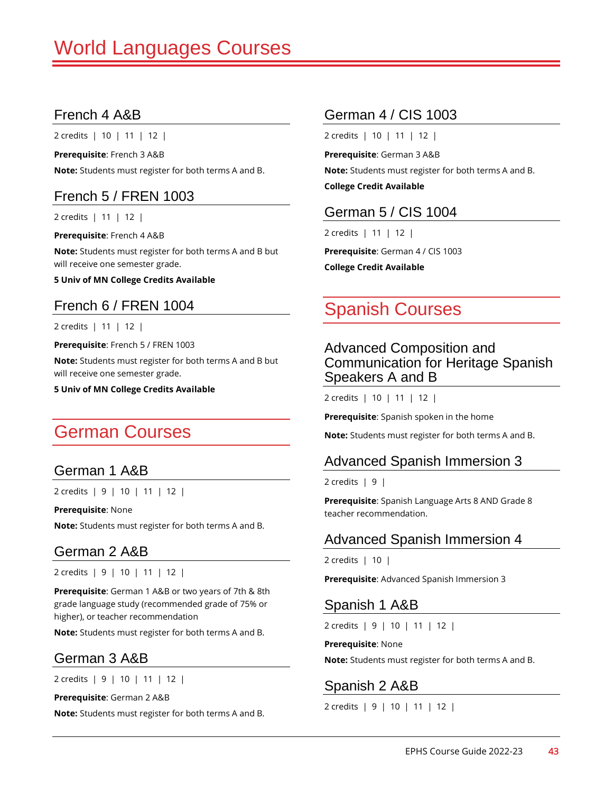### French 4 A&B

2 credits | 10 | 11 | 12 |

**Prerequisite**: French 3 A&B **Note:** Students must register for both terms A and B.

### French 5 / FREN 1003

2 credits | 11 | 12 |

**Prerequisite**: French 4 A&B

**Note:** Students must register for both terms A and B but will receive one semester grade.

**5 Univ of MN College Credits Available**

# French 6 / FREN 1004

2 credits | 11 | 12 |

**Prerequisite**: French 5 / FREN 1003

**Note:** Students must register for both terms A and B but will receive one semester grade.

**5 Univ of MN College Credits Available**

# German Courses

#### German 1 A&B

2 credits | 9 | 10 | 11 | 12 |

**Prerequisite**: None

**Note:** Students must register for both terms A and B.

#### German 2 A&B

2 credits | 9 | 10 | 11 | 12 |

**Prerequisite**: German 1 A&B or two years of 7th & 8th grade language study (recommended grade of 75% or higher), or teacher recommendation

**Note:** Students must register for both terms A and B.

#### German 3 A&B

2 credits | 9 | 10 | 11 | 12 |

**Prerequisite**: German 2 A&B

**Note:** Students must register for both terms A and B.

# German 4 / CIS 1003

2 credits | 10 | 11 | 12 |

**Prerequisite**: German 3 A&B

**Note:** Students must register for both terms A and B.

**College Credit Available**

#### German 5 / CIS 1004

2 credits | 11 | 12 |

**Prerequisite**: German 4 / CIS 1003 **College Credit Available**

# Spanish Courses

#### Advanced Composition and Communication for Heritage Spanish Speakers A and B

2 credits | 10 | 11 | 12 |

**Prerequisite**: Spanish spoken in the home

**Note:** Students must register for both terms A and B.

#### Advanced Spanish Immersion 3

2 credits  $\vert 9 \vert$ 

**Prerequisite**: Spanish Language Arts 8 AND Grade 8 teacher recommendation.

#### Advanced Spanish Immersion 4

2 credits | 10 |

**Prerequisite**: Advanced Spanish Immersion 3

#### Spanish 1 A&B

2 credits | 9 | 10 | 11 | 12 |

**Prerequisite**: None

**Note:** Students must register for both terms A and B.

Spanish 2 A&B

2 credits | 9 | 10 | 11 | 12 |